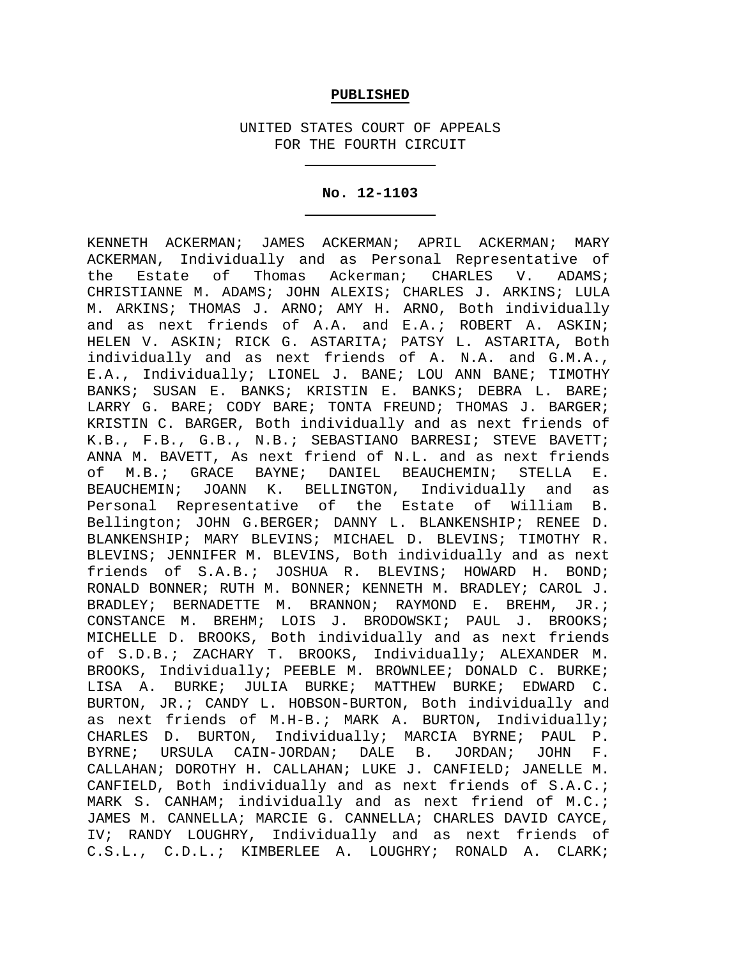### **PUBLISHED**

UNITED STATES COURT OF APPEALS FOR THE FOURTH CIRCUIT

### **No. 12-1103**

KENNETH ACKERMAN; JAMES ACKERMAN; APRIL ACKERMAN; MARY ACKERMAN, Individually and as Personal Representative of<br>the Estate of Thomas Ackerman; CHARLES V. ADAMS; the Estate of Thomas Ackerman; CHARLES V. ADAMS; CHRISTIANNE M. ADAMS; JOHN ALEXIS; CHARLES J. ARKINS; LULA M. ARKINS; THOMAS J. ARNO; AMY H. ARNO, Both individually and as next friends of A.A. and E.A.; ROBERT A. ASKIN; HELEN V. ASKIN; RICK G. ASTARITA; PATSY L. ASTARITA, Both individually and as next friends of A. N.A. and G.M.A., E.A., Individually; LIONEL J. BANE; LOU ANN BANE; TIMOTHY BANKS; SUSAN E. BANKS; KRISTIN E. BANKS; DEBRA L. BARE; LARRY G. BARE; CODY BARE; TONTA FREUND; THOMAS J. BARGER; KRISTIN C. BARGER, Both individually and as next friends of K.B., F.B., G.B., N.B.; SEBASTIANO BARRESI; STEVE BAVETT; ANNA M. BAVETT, As next friend of N.L. and as next friends of M.B.; GRACE BAYNE; DANIEL BEAUCHEMIN; STELLA E. BEAUCHEMIN; JOANN K. BELLINGTON, Individually and as<br>Personal Representative of the Estate of William B. Personal Representative of the Estate of William Bellington; JOHN G.BERGER; DANNY L. BLANKENSHIP; RENEE D. BLANKENSHIP; MARY BLEVINS; MICHAEL D. BLEVINS; TIMOTHY R. BLEVINS; JENNIFER M. BLEVINS, Both individually and as next friends of S.A.B.; JOSHUA R. BLEVINS; HOWARD H. BOND; RONALD BONNER; RUTH M. BONNER; KENNETH M. BRADLEY; CAROL J. BRADLEY; BERNADETTE M. BRANNON; RAYMOND E. BREHM, JR.; CONSTANCE M. BREHM; LOIS J. BRODOWSKI; PAUL J. BROOKS; MICHELLE D. BROOKS, Both individually and as next friends of S.D.B.; ZACHARY T. BROOKS, Individually; ALEXANDER M. BROOKS, Individually; PEEBLE M. BROWNLEE; DONALD C. BURKE; LISA A. BURKE; JULIA BURKE; MATTHEW BURKE; EDWARD C. BURTON, JR.; CANDY L. HOBSON-BURTON, Both individually and as next friends of M.H-B.; MARK A. BURTON, Individually; CHARLES D. BURTON, Individually; MARCIA BYRNE; PAUL P.<br>BYRNE; URSULA CAIN-JORDAN; DALE B. JORDAN; JOHN F. BYRNE; URSULA CAIN-JORDAN; DALE B. CALLAHAN; DOROTHY H. CALLAHAN; LUKE J. CANFIELD; JANELLE M. CANFIELD, Both individually and as next friends of S.A.C.; MARK S. CANHAM; individually and as next friend of M.C.; JAMES M. CANNELLA; MARCIE G. CANNELLA; CHARLES DAVID CAYCE, IV; RANDY LOUGHRY, Individually and as next friends of C.S.L., C.D.L.; KIMBERLEE A. LOUGHRY; RONALD A. CLARK;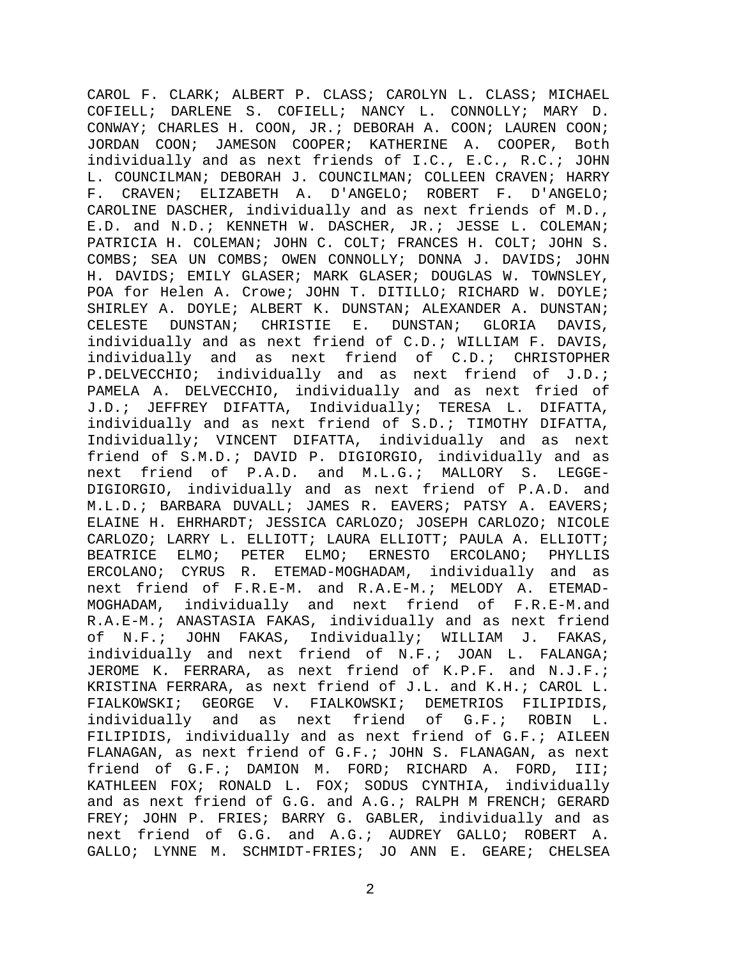CAROL F. CLARK; ALBERT P. CLASS; CAROLYN L. CLASS; MICHAEL COFIELL; DARLENE S. COFIELL; NANCY L. CONNOLLY; MARY D. CONWAY; CHARLES H. COON, JR.; DEBORAH A. COON; LAUREN COON; JORDAN COON; JAMESON COOPER; KATHERINE A. COOPER, Both individually and as next friends of I.C., E.C., R.C.; JOHN L. COUNCILMAN; DEBORAH J. COUNCILMAN; COLLEEN CRAVEN; HARRY F. CRAVEN; ELIZABETH A. D'ANGELO; ROBERT F. D'ANGELO; CAROLINE DASCHER, individually and as next friends of M.D., E.D. and N.D.; KENNETH W. DASCHER, JR.; JESSE L. COLEMAN; PATRICIA H. COLEMAN; JOHN C. COLT; FRANCES H. COLT; JOHN S. COMBS; SEA UN COMBS; OWEN CONNOLLY; DONNA J. DAVIDS; JOHN H. DAVIDS; EMILY GLASER; MARK GLASER; DOUGLAS W. TOWNSLEY, POA for Helen A. Crowe; JOHN T. DITILLO; RICHARD W. DOYLE; SHIRLEY A. DOYLE; ALBERT K. DUNSTAN; ALEXANDER A. DUNSTAN;<br>CELESTE DUNSTAN; CHRISTIE E. DUNSTAN; GLORIA DAVIS, CELESTE DUNSTAN; CHRISTIE E. DUNSTAN; GLORIA DAVIS, individually and as next friend of C.D.; WILLIAM F. DAVIS, individually and as next friend of C.D.; CHRISTOPHER P.DELVECCHIO; individually and as next friend of J.D.; PAMELA A. DELVECCHIO, individually and as next fried of J.D.; JEFFREY DIFATTA, Individually; TERESA L. DIFATTA, individually and as next friend of S.D.; TIMOTHY DIFATTA, Individually; VINCENT DIFATTA, individually and as next friend of S.M.D.; DAVID P. DIGIORGIO, individually and as next friend of P.A.D. and M.L.G.; MALLORY S. LEGGE-DIGIORGIO, individually and as next friend of P.A.D. and M.L.D.; BARBARA DUVALL; JAMES R. EAVERS; PATSY A. EAVERS; ELAINE H. EHRHARDT; JESSICA CARLOZO; JOSEPH CARLOZO; NICOLE CARLOZO; LARRY L. ELLIOTT; LAURA ELLIOTT; PAULA A. ELLIOTT;<br>BEATRICE ELMO; PETER ELMO; ERNESTO ERCOLANO; PHYLLIS BEATRICE ELMO; PETER ELMO; ERNESTO ERCOLANO; PHYLLIS ERCOLANO; CYRUS R. ETEMAD-MOGHADAM, individually and as next friend of F.R.E-M. and R.A.E-M.; MELODY A. ETEMAD-MOGHADAM, individually and next friend of F.R.E-M.and R.A.E-M.; ANASTASIA FAKAS, individually and as next friend<br>of N.F.; JOHN FAKAS, Individually; WILLIAM J. FAKAS, N.F.; JOHN FAKAS, Individually; WILLIAM J. FAKAS, individually and next friend of N.F.; JOAN L. FALANGA; JEROME K. FERRARA, as next friend of K.P.F. and N.J.F.; KRISTINA FERRARA, as next friend of J.L. and K.H.; CAROL L. FIALKOWSKI; GEORGE V. FIALKOWSKI; DEMETRIOS FILIPIDIS, individually and as next friend of G.F.; ROBIN L. FILIPIDIS, individually and as next friend of G.F.; AILEEN FLANAGAN, as next friend of G.F.; JOHN S. FLANAGAN, as next friend of G.F.; DAMION M. FORD; RICHARD A. FORD, III; KATHLEEN FOX; RONALD L. FOX; SODUS CYNTHIA, individually and as next friend of G.G. and A.G.; RALPH M FRENCH; GERARD FREY; JOHN P. FRIES; BARRY G. GABLER, individually and as next friend of G.G. and A.G.; AUDREY GALLO; ROBERT A. GALLO; LYNNE M. SCHMIDT-FRIES; JO ANN E. GEARE; CHELSEA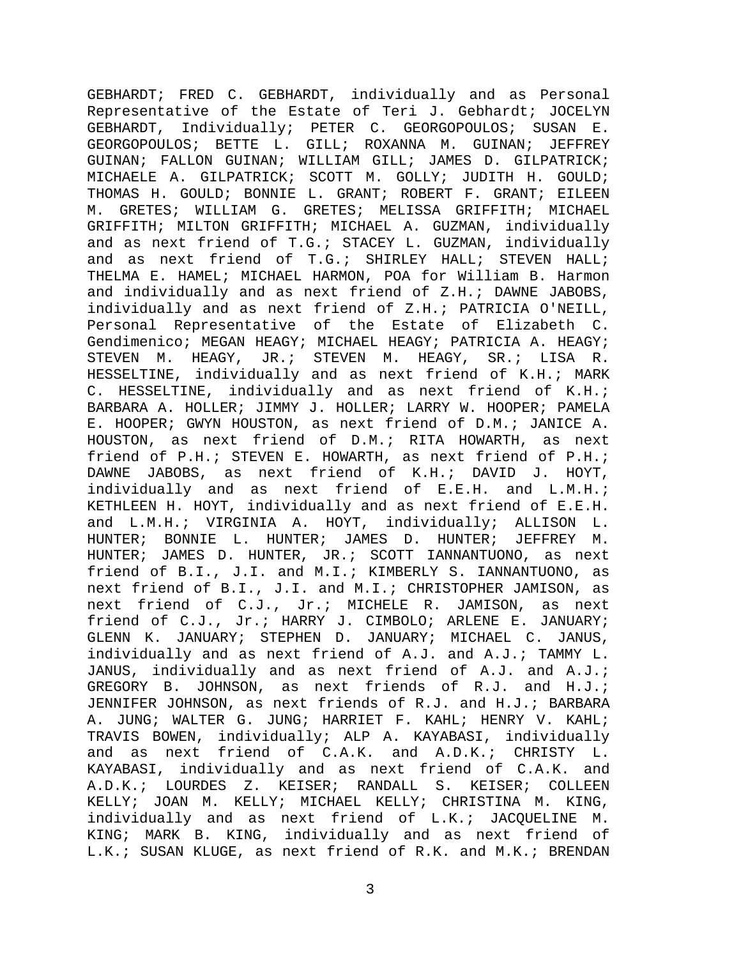GEBHARDT; FRED C. GEBHARDT, individually and as Personal Representative of the Estate of Teri J. Gebhardt; JOCELYN GEBHARDT, Individually; PETER C. GEORGOPOULOS; SUSAN E. GEORGOPOULOS; BETTE L. GILL; ROXANNA M. GUINAN; JEFFREY GUINAN; FALLON GUINAN; WILLIAM GILL; JAMES D. GILPATRICK; MICHAELE A. GILPATRICK; SCOTT M. GOLLY; JUDITH H. GOULD; THOMAS H. GOULD; BONNIE L. GRANT; ROBERT F. GRANT; EILEEN M. GRETES; WILLIAM G. GRETES; MELISSA GRIFFITH; MICHAEL GRIFFITH; MILTON GRIFFITH; MICHAEL A. GUZMAN, individually and as next friend of T.G.; STACEY L. GUZMAN, individually and as next friend of T.G.; SHIRLEY HALL; STEVEN HALL; THELMA E. HAMEL; MICHAEL HARMON, POA for William B. Harmon and individually and as next friend of Z.H.; DAWNE JABOBS, individually and as next friend of Z.H.; PATRICIA O'NEILL, Personal Representative of the Estate of Elizabeth C. Gendimenico; MEGAN HEAGY; MICHAEL HEAGY; PATRICIA A. HEAGY; STEVEN M. HEAGY, JR.; STEVEN M. HEAGY, SR.; LISA R. HESSELTINE, individually and as next friend of K.H.; MARK C. HESSELTINE, individually and as next friend of K.H.; BARBARA A. HOLLER; JIMMY J. HOLLER; LARRY W. HOOPER; PAMELA E. HOOPER; GWYN HOUSTON, as next friend of D.M.; JANICE A. HOUSTON, as next friend of D.M.; RITA HOWARTH, as next friend of P.H.; STEVEN E. HOWARTH, as next friend of P.H.; DAWNE JABOBS, as next friend of K.H.; DAVID J. HOYT, individually and as next friend of E.E.H. and L.M.H.; KETHLEEN H. HOYT, individually and as next friend of E.E.H. and L.M.H.; VIRGINIA A. HOYT, individually; ALLISON L. HUNTER; BONNIE L. HUNTER; JAMES D. HUNTER; JEFFREY M. HUNTER; JAMES D. HUNTER, JR.; SCOTT IANNANTUONO, as next friend of B.I., J.I. and M.I.; KIMBERLY S. IANNANTUONO, as next friend of B.I., J.I. and M.I.; CHRISTOPHER JAMISON, as next friend of C.J., Jr.; MICHELE R. JAMISON, as next friend of C.J., Jr.; HARRY J. CIMBOLO; ARLENE E. JANUARY; GLENN K. JANUARY; STEPHEN D. JANUARY; MICHAEL C. JANUS, individually and as next friend of A.J. and A.J.; TAMMY L. JANUS, individually and as next friend of A.J. and A.J.; GREGORY B. JOHNSON, as next friends of R.J. and H.J.; JENNIFER JOHNSON, as next friends of R.J. and H.J.; BARBARA A. JUNG; WALTER G. JUNG; HARRIET F. KAHL; HENRY V. KAHL; TRAVIS BOWEN, individually; ALP A. KAYABASI, individually and as next friend of C.A.K. and A.D.K.; CHRISTY L. KAYABASI, individually and as next friend of C.A.K. and A.D.K.; LOURDES Z. KEISER; RANDALL S. KEISER; COLLEEN KELLY; JOAN M. KELLY; MICHAEL KELLY; CHRISTINA M. KING, individually and as next friend of L.K.; JACQUELINE M. KING; MARK B. KING, individually and as next friend of L.K.; SUSAN KLUGE, as next friend of R.K. and M.K.; BRENDAN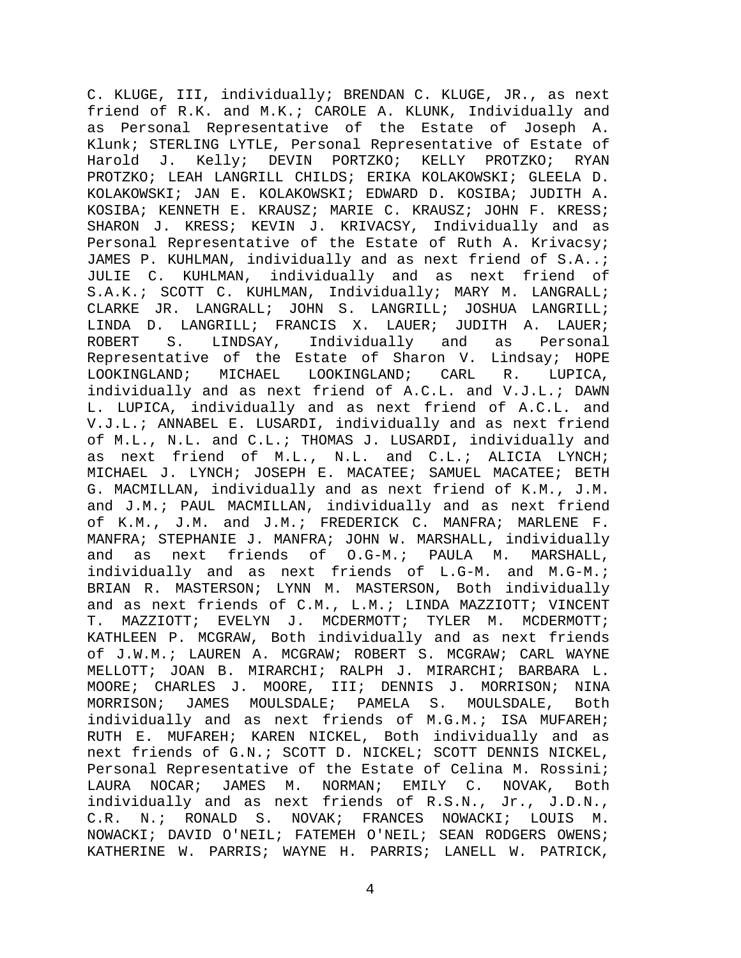C. KLUGE, III, individually; BRENDAN C. KLUGE, JR., as next friend of R.K. and M.K.; CAROLE A. KLUNK, Individually and as Personal Representative of the Estate of Joseph A. Klunk; STERLING LYTLE, Personal Representative of Estate of<br>Harold J. Kelly; DEVIN PORTZKO; KELLY PROTZKO; RYAN Kelly; DEVIN PORTZKO; PROTZKO; LEAH LANGRILL CHILDS; ERIKA KOLAKOWSKI; GLEELA D. KOLAKOWSKI; JAN E. KOLAKOWSKI; EDWARD D. KOSIBA; JUDITH A. KOSIBA; KENNETH E. KRAUSZ; MARIE C. KRAUSZ; JOHN F. KRESS; SHARON J. KRESS; KEVIN J. KRIVACSY, Individually and as Personal Representative of the Estate of Ruth A. Krivacsy; JAMES P. KUHLMAN, individually and as next friend of S.A..; JULIE C. KUHLMAN, individually and as next friend of S.A.K.; SCOTT C. KUHLMAN, Individually; MARY M. LANGRALL; CLARKE JR. LANGRALL; JOHN S. LANGRILL; JOSHUA LANGRILL; LINDA D. LANGRILL; FRANCIS X. LAUER; JUDITH A. LAUER; ROBERT S. LINDSAY, Individually and as Personal Representative of the Estate of Sharon V. Lindsay; HOPE<br>LOOKINGLAND; MICHAEL LOOKINGLAND; CARL R. LUPICA, LOOKINGLAND; CARL R. LUPICA, individually and as next friend of A.C.L. and V.J.L.; DAWN L. LUPICA, individually and as next friend of A.C.L. and V.J.L.; ANNABEL E. LUSARDI, individually and as next friend of M.L., N.L. and C.L.; THOMAS J. LUSARDI, individually and as next friend of M.L., N.L. and C.L.; ALICIA LYNCH; MICHAEL J. LYNCH; JOSEPH E. MACATEE; SAMUEL MACATEE; BETH G. MACMILLAN, individually and as next friend of K.M., J.M. and J.M.; PAUL MACMILLAN, individually and as next friend of K.M., J.M. and J.M.; FREDERICK C. MANFRA; MARLENE F. MANFRA; STEPHANIE J. MANFRA; JOHN W. MARSHALL, individually<br>and as next friends of O.G-M.; PAULA M. MARSHALL, and as next friends of O.G-M.; PAULA M. MARSHALL, individually and as next friends of L.G-M. and M.G-M.; BRIAN R. MASTERSON; LYNN M. MASTERSON, Both individually and as next friends of C.M., L.M.; LINDA MAZZIOTT; VINCENT<br>T. MAZZIOTT; EVELYN J. MCDERMOTT; TYLER M. MCDERMOTT; MAZZIOTT; EVELYN J. MCDERMOTT; TYLER M. MCDERMOTT; KATHLEEN P. MCGRAW, Both individually and as next friends of J.W.M.; LAUREN A. MCGRAW; ROBERT S. MCGRAW; CARL WAYNE MELLOTT; JOAN B. MIRARCHI; RALPH J. MIRARCHI; BARBARA L. MOORE; CHARLES J. MOORE, III; DENNIS J. MORRISON; NINA<br>MORRISON; JAMES MOULSDALE; PAMELA S. MOULSDALE, Both MORRISON; JAMES MOULSDALE; PAMELA S. MOULSDALE, Both individually and as next friends of M.G.M.; ISA MUFAREH; RUTH E. MUFAREH; KAREN NICKEL, Both individually and as next friends of G.N.; SCOTT D. NICKEL; SCOTT DENNIS NICKEL, Personal Representative of the Estate of Celina M. Rossini;<br>LAURA NOCAR; JAMES M. NORMAN; EMILY C. NOVAK, Both LAURA NOCAR; JAMES M. NORMAN; EMILY C. NOVAK, Both individually and as next friends of R.S.N., Jr., J.D.N.,<br>C.R. N.; RONALD S. NOVAK; FRANCES NOWACKI; LOUIS M. RONALD S. NOVAK; FRANCES NOWACKI; LOUIS M. NOWACKI; DAVID O'NEIL; FATEMEH O'NEIL; SEAN RODGERS OWENS; KATHERINE W. PARRIS; WAYNE H. PARRIS; LANELL W. PATRICK,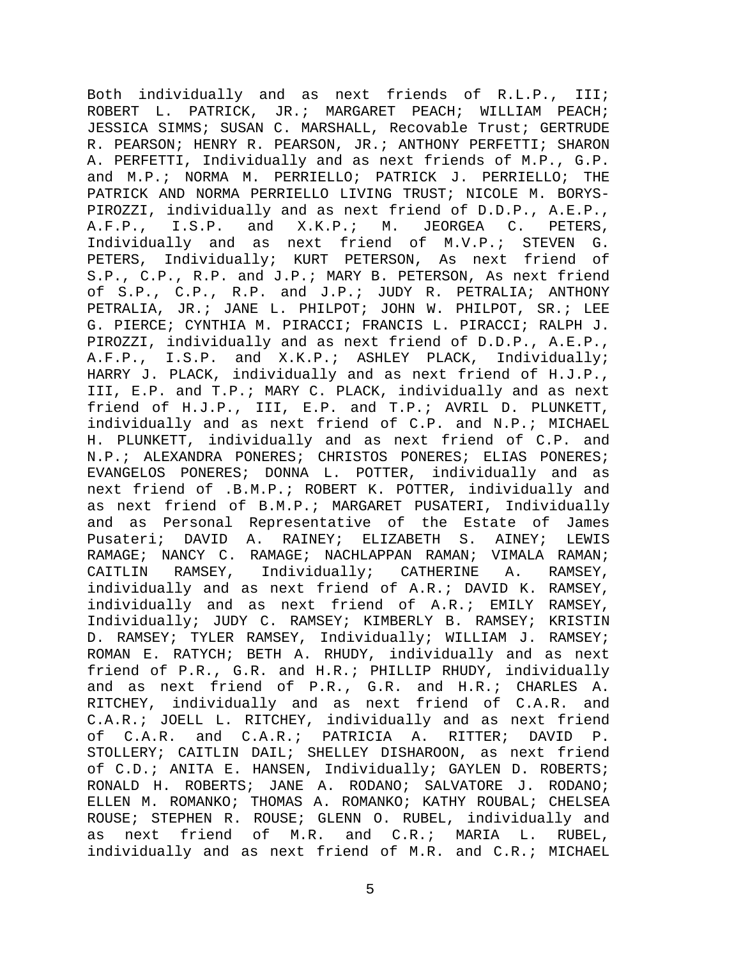Both individually and as next friends of R.L.P., III; ROBERT L. PATRICK, JR.; MARGARET PEACH; WILLIAM PEACH; JESSICA SIMMS; SUSAN C. MARSHALL, Recovable Trust; GERTRUDE R. PEARSON; HENRY R. PEARSON, JR.; ANTHONY PERFETTI; SHARON A. PERFETTI, Individually and as next friends of M.P., G.P. and M.P.; NORMA M. PERRIELLO; PATRICK J. PERRIELLO; THE PATRICK AND NORMA PERRIELLO LIVING TRUST; NICOLE M. BORYS-PIROZZI, individually and as next friend of D.D.P., A.E.P.,<br>A.F.P., I.S.P. and X.K.P.; M. JEORGEA C. PETERS,  $A.F.P., I.S.P. and X.K.P.: M.$ Individually and as next friend of M.V.P.; STEVEN G. PETERS, Individually; KURT PETERSON, As next friend of S.P., C.P., R.P. and J.P.; MARY B. PETERSON, As next friend of S.P., C.P., R.P. and J.P.; JUDY R. PETRALIA; ANTHONY PETRALIA, JR.; JANE L. PHILPOT; JOHN W. PHILPOT, SR.; LEE G. PIERCE; CYNTHIA M. PIRACCI; FRANCIS L. PIRACCI; RALPH J. PIROZZI, individually and as next friend of D.D.P., A.E.P., A.F.P., I.S.P. and X.K.P.; ASHLEY PLACK, Individually; HARRY J. PLACK, individually and as next friend of H.J.P., III, E.P. and T.P.; MARY C. PLACK, individually and as next friend of H.J.P., III, E.P. and T.P.; AVRIL D. PLUNKETT, individually and as next friend of C.P. and N.P.; MICHAEL H. PLUNKETT, individually and as next friend of C.P. and N.P.; ALEXANDRA PONERES; CHRISTOS PONERES; ELIAS PONERES; EVANGELOS PONERES; DONNA L. POTTER, individually and as next friend of .B.M.P.; ROBERT K. POTTER, individually and as next friend of B.M.P.; MARGARET PUSATERI, Individually and as Personal Representative of the Estate of James<br>Pusateri; DAVID A. RAINEY; ELIZABETH S. AINEY; LEWIS Pusateri; DAVID A. RAINEY; ELIZABETH S. AINEY; LEWIS RAMAGE; NANCY C. RAMAGE; NACHLAPPAN RAMAN; VIMALA RAMAN; CAITLIN RAMSEY, Individually; CATHERINE A. RAMSEY, individually and as next friend of A.R.; DAVID K. RAMSEY, individually and as next friend of A.R.; EMILY RAMSEY, Individually; JUDY C. RAMSEY; KIMBERLY B. RAMSEY; KRISTIN D. RAMSEY; TYLER RAMSEY, Individually; WILLIAM J. RAMSEY; ROMAN E. RATYCH; BETH A. RHUDY, individually and as next friend of P.R., G.R. and H.R.; PHILLIP RHUDY, individually and as next friend of P.R., G.R. and H.R.; CHARLES A. RITCHEY, individually and as next friend of C.A.R. and C.A.R.; JOELL L. RITCHEY, individually and as next friend of C.A.R. and C.A.R.; PATRICIA A. RITTER; DAVID P. STOLLERY; CAITLIN DAIL; SHELLEY DISHAROON, as next friend of C.D.; ANITA E. HANSEN, Individually; GAYLEN D. ROBERTS; RONALD H. ROBERTS; JANE A. RODANO; SALVATORE J. RODANO; ELLEN M. ROMANKO; THOMAS A. ROMANKO; KATHY ROUBAL; CHELSEA ROUSE; STEPHEN R. ROUSE; GLENN O. RUBEL, individually and<br>as next friend of M.R. and C.R.; MARIA L. RUBEL, as next friend of M.R. and C.R.; MARIA L. RUBEL, individually and as next friend of M.R. and C.R.; MICHAEL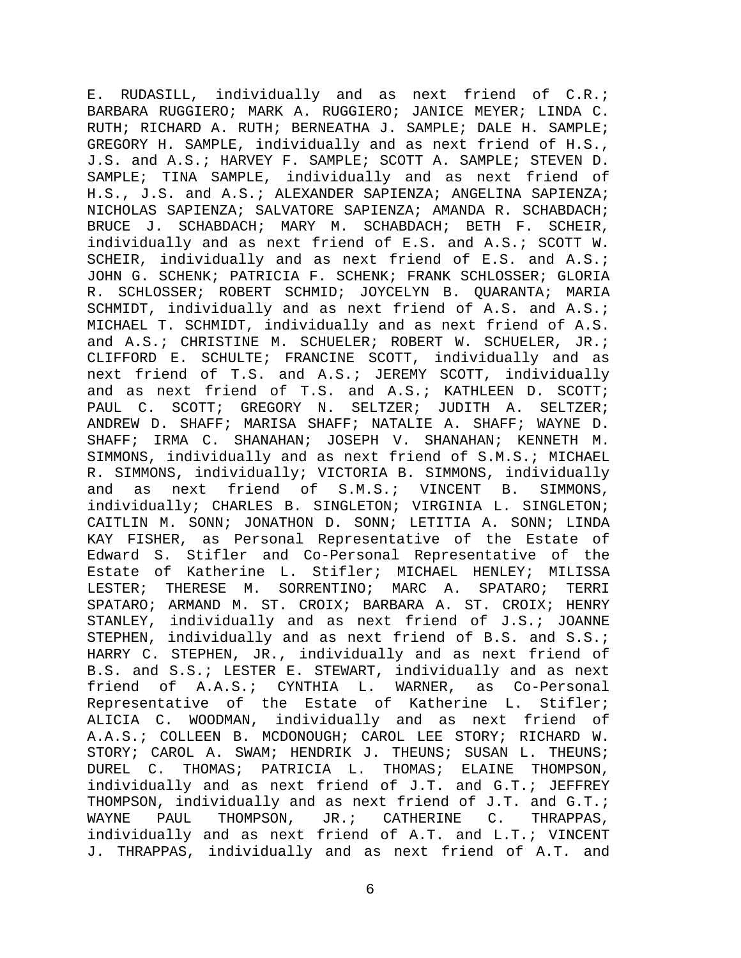E. RUDASILL, individually and as next friend of C.R.; BARBARA RUGGIERO; MARK A. RUGGIERO; JANICE MEYER; LINDA C. RUTH; RICHARD A. RUTH; BERNEATHA J. SAMPLE; DALE H. SAMPLE; GREGORY H. SAMPLE, individually and as next friend of H.S., J.S. and A.S.; HARVEY F. SAMPLE; SCOTT A. SAMPLE; STEVEN D. SAMPLE; TINA SAMPLE, individually and as next friend of H.S., J.S. and A.S.; ALEXANDER SAPIENZA; ANGELINA SAPIENZA; NICHOLAS SAPIENZA; SALVATORE SAPIENZA; AMANDA R. SCHABDACH; BRUCE J. SCHABDACH; MARY M. SCHABDACH; BETH F. SCHEIR, individually and as next friend of E.S. and A.S.; SCOTT W. SCHEIR, individually and as next friend of E.S. and A.S.; JOHN G. SCHENK; PATRICIA F. SCHENK; FRANK SCHLOSSER; GLORIA<br>R. SCHLOSSER; ROBERT SCHMID; JOYCELYN B. OUARANTA; MARIA SCHLOSSER; ROBERT SCHMID; JOYCELYN B. QUARANTA; MARIA SCHMIDT, individually and as next friend of A.S. and A.S.; MICHAEL T. SCHMIDT, individually and as next friend of A.S. and A.S.; CHRISTINE M. SCHUELER; ROBERT W. SCHUELER, JR.; CLIFFORD E. SCHULTE; FRANCINE SCOTT, individually and as next friend of T.S. and A.S.; JEREMY SCOTT, individually and as next friend of T.S. and A.S.; KATHLEEN D. SCOTT; PAUL C. SCOTT; GREGORY N. SELTZER; JUDITH A. SELTZER; ANDREW D. SHAFF; MARISA SHAFF; NATALIE A. SHAFF; WAYNE D. SHAFF; IRMA C. SHANAHAN; JOSEPH V. SHANAHAN; KENNETH M. SIMMONS, individually and as next friend of S.M.S.; MICHAEL R. SIMMONS, individually; VICTORIA B. SIMMONS, individually and as next friend of S.M.S.; VINCENT B. SIMMONS, individually; CHARLES B. SINGLETON; VIRGINIA L. SINGLETON; CAITLIN M. SONN; JONATHON D. SONN; LETITIA A. SONN; LINDA KAY FISHER, as Personal Representative of the Estate of Edward S. Stifler and Co-Personal Representative of the Estate of Katherine L. Stifler; MICHAEL HENLEY; MILISSA LESTER; THERESE M. SORRENTINO; MARC A. SPATARO; TERRI SPATARO; ARMAND M. ST. CROIX; BARBARA A. ST. CROIX; HENRY STANLEY, individually and as next friend of J.S.; JOANNE STEPHEN, individually and as next friend of B.S. and S.S.; HARRY C. STEPHEN, JR., individually and as next friend of B.S. and S.S.; LESTER E. STEWART, individually and as next friend of A.A.S.; CYNTHIA L. WARNER, as Co-Personal Representative of the Estate of Katherine L. Stifler; ALICIA C. WOODMAN, individually and as next friend of A.A.S.; COLLEEN B. MCDONOUGH; CAROL LEE STORY; RICHARD W. STORY; CAROL A. SWAM; HENDRIK J. THEUNS; SUSAN L. THEUNS; DUREL C. THOMAS; PATRICIA L. THOMAS; ELAINE THOMPSON, individually and as next friend of J.T. and G.T.; JEFFREY THOMPSON, individually and as next friend of J.T. and G.T.;<br>WAYNE PAUL THOMPSON, JR.; CATHERINE C. THRAPPAS, PAUL THOMPSON, JR.; CATHERINE C. individually and as next friend of A.T. and L.T.; VINCENT J. THRAPPAS, individually and as next friend of A.T. and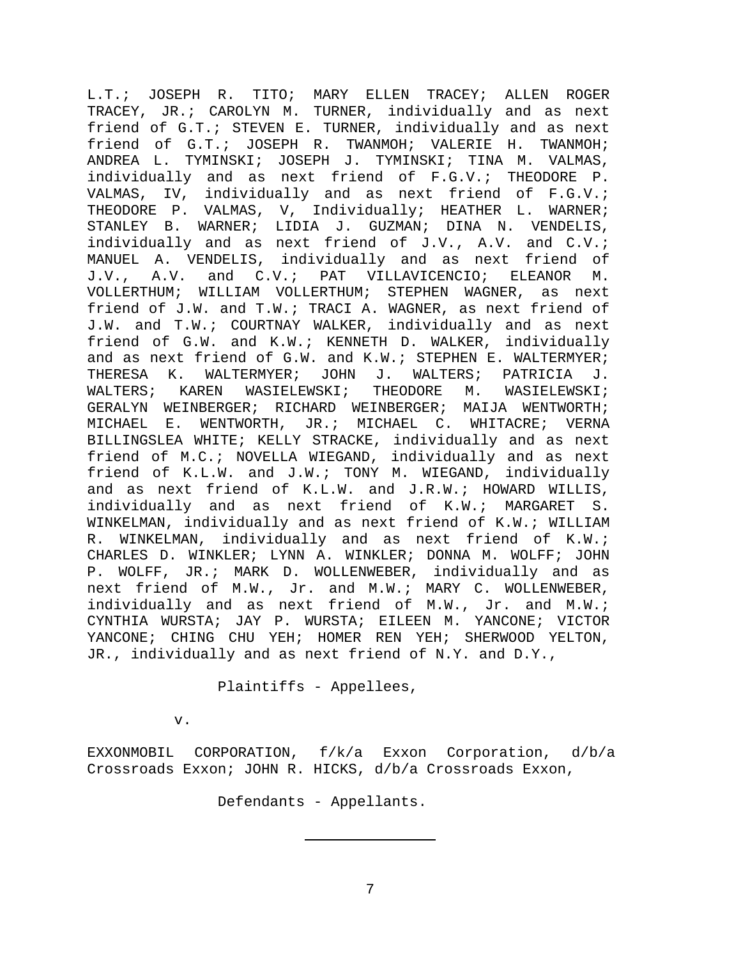L.T.; JOSEPH R. TITO; MARY ELLEN TRACEY; ALLEN ROGER TRACEY, JR.; CAROLYN M. TURNER, individually and as next friend of G.T.; STEVEN E. TURNER, individually and as next friend of G.T.; JOSEPH R. TWANMOH; VALERIE H. TWANMOH; ANDREA L. TYMINSKI; JOSEPH J. TYMINSKI; TINA M. VALMAS, individually and as next friend of F.G.V.; THEODORE P. VALMAS, IV, individually and as next friend of F.G.V.; THEODORE P. VALMAS, V, Individually; HEATHER L. WARNER; STANLEY B. WARNER; LIDIA J. GUZMAN; DINA N. VENDELIS, individually and as next friend of J.V., A.V. and C.V.; MANUEL A. VENDELIS, individually and as next friend of J.V., A.V. and C.V.; PAT VILLAVICENCIO; ELEANOR M. A.V. and C.V.; PAT VILLAVICENCIO; ELEANOR M. VOLLERTHUM; WILLIAM VOLLERTHUM; STEPHEN WAGNER, as next friend of J.W. and T.W.; TRACI A. WAGNER, as next friend of J.W. and T.W.; COURTNAY WALKER, individually and as next friend of G.W. and K.W.; KENNETH D. WALKER, individually and as next friend of G.W. and K.W.; STEPHEN E. WALTERMYER;<br>THERESA K. WALTERMYER; JOHN J. WALTERS; PATRICIA J. THERESA K. WALTERMYER; JOHN J. WALTERS; PATRICIA J.<br>WALTERS; KAREN WASIELEWSKI; THEODORE M. WASIELEWSKI; WASIELEWSKI; GERALYN WEINBERGER; RICHARD WEINBERGER; MAIJA WENTWORTH; MICHAEL E. WENTWORTH, JR.; MICHAEL C. WHITACRE; VERNA BILLINGSLEA WHITE; KELLY STRACKE, individually and as next friend of M.C.; NOVELLA WIEGAND, individually and as next friend of K.L.W. and J.W.; TONY M. WIEGAND, individually and as next friend of K.L.W. and J.R.W.; HOWARD WILLIS, individually and as next friend of K.W.; MARGARET S. WINKELMAN, individually and as next friend of K.W.; WILLIAM R. WINKELMAN, individually and as next friend of K.W.; CHARLES D. WINKLER; LYNN A. WINKLER; DONNA M. WOLFF; JOHN P. WOLFF, JR.; MARK D. WOLLENWEBER, individually and as next friend of M.W., Jr. and M.W.; MARY C. WOLLENWEBER, individually and as next friend of M.W., Jr. and M.W.; CYNTHIA WURSTA; JAY P. WURSTA; EILEEN M. YANCONE; VICTOR YANCONE; CHING CHU YEH; HOMER REN YEH; SHERWOOD YELTON, JR., individually and as next friend of N.Y. and D.Y.,

Plaintiffs - Appellees,

v.

EXXONMOBIL CORPORATION, f/k/a Exxon Corporation, d/b/a Crossroads Exxon; JOHN R. HICKS, d/b/a Crossroads Exxon,

Defendants - Appellants.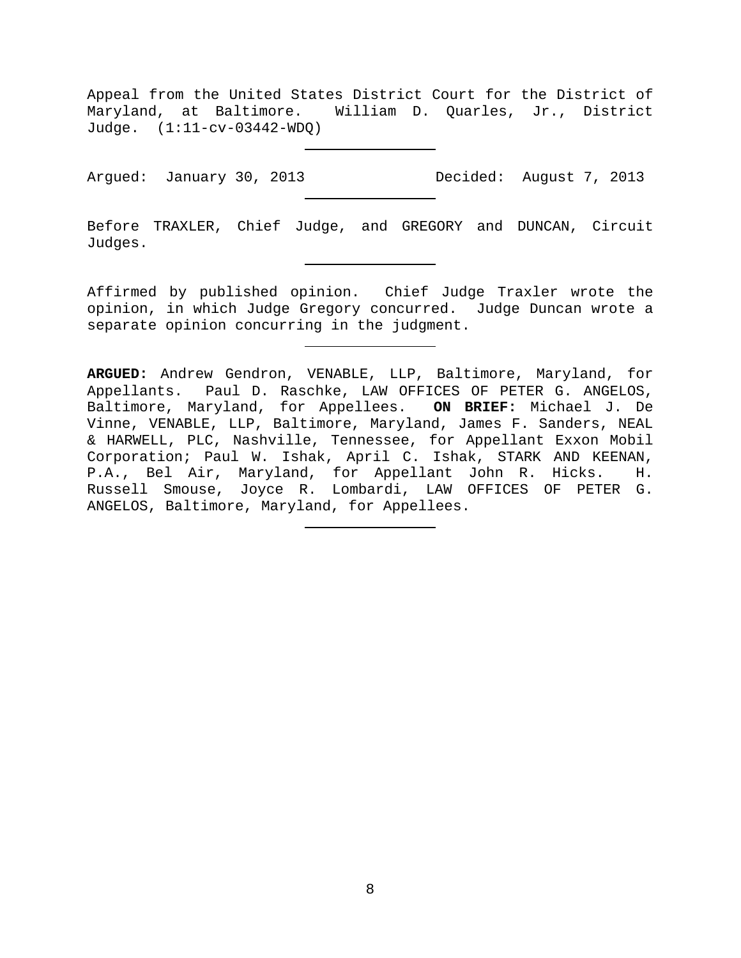Appeal from the United States District Court for the District of Maryland, at Baltimore. William D. Quarles, Jr., District Judge. (1:11-cv-03442-WDQ)

Argued: January 30, 2013 Decided: August 7, 2013

Before TRAXLER, Chief Judge, and GREGORY and DUNCAN, Circuit Judges.

Affirmed by published opinion. Chief Judge Traxler wrote the opinion, in which Judge Gregory concurred. Judge Duncan wrote a separate opinion concurring in the judgment.

**ARGUED:** Andrew Gendron, VENABLE, LLP, Baltimore, Maryland, for Appellants. Paul D. Raschke, LAW OFFICES OF PETER G. ANGELOS, Baltimore, Maryland, for Appellees. **ON BRIEF:** Michael J. De Vinne, VENABLE, LLP, Baltimore, Maryland, James F. Sanders, NEAL & HARWELL, PLC, Nashville, Tennessee, for Appellant Exxon Mobil Corporation; Paul W. Ishak, April C. Ishak, STARK AND KEENAN, P.A., Bel Air, Maryland, for Appellant John R. Hicks. H. Russell Smouse, Joyce R. Lombardi, LAW OFFICES OF PETER G. ANGELOS, Baltimore, Maryland, for Appellees.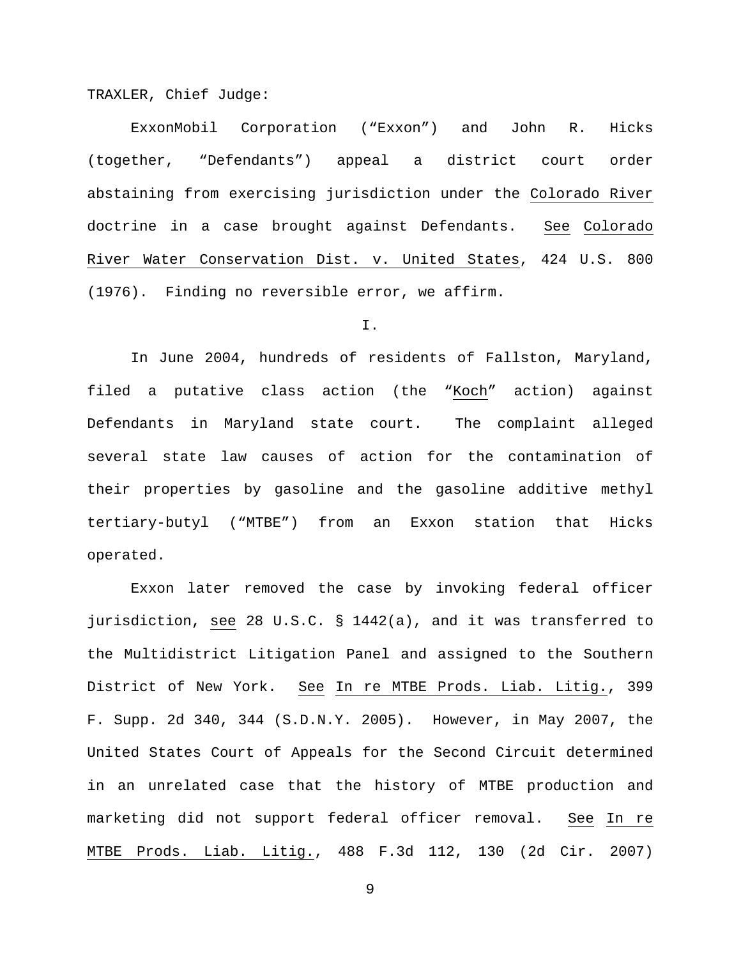TRAXLER, Chief Judge:

ExxonMobil Corporation ("Exxon") and John R. Hicks (together, "Defendants") appeal a district court order abstaining from exercising jurisdiction under the Colorado River doctrine in a case brought against Defendants. See Colorado River Water Conservation Dist. v. United States, 424 U.S. 800 (1976). Finding no reversible error, we affirm.

I.

In June 2004, hundreds of residents of Fallston, Maryland, filed a putative class action (the "Koch" action) against Defendants in Maryland state court. The complaint alleged several state law causes of action for the contamination of their properties by gasoline and the gasoline additive methyl tertiary-butyl ("MTBE") from an Exxon station that Hicks operated.

Exxon later removed the case by invoking federal officer jurisdiction, see 28 U.S.C. § 1442(a), and it was transferred to the Multidistrict Litigation Panel and assigned to the Southern District of New York. See In re MTBE Prods. Liab. Litig., 399 F. Supp. 2d 340, 344 (S.D.N.Y. 2005). However, in May 2007, the United States Court of Appeals for the Second Circuit determined in an unrelated case that the history of MTBE production and marketing did not support federal officer removal. See In re MTBE Prods. Liab. Litig., 488 F.3d 112, 130 (2d Cir. 2007)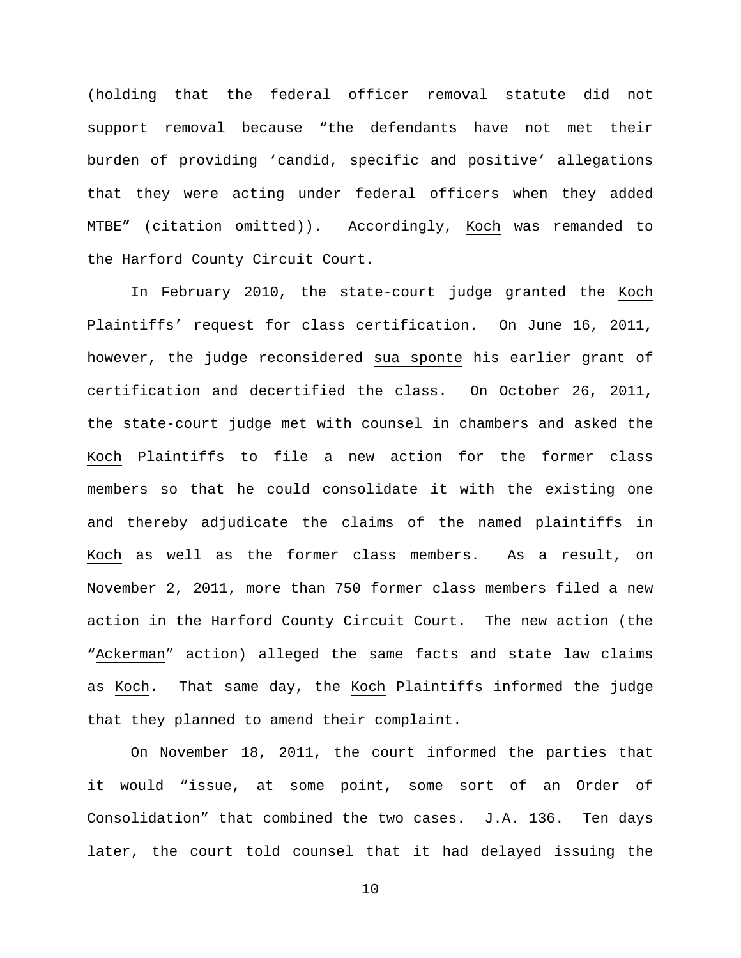(holding that the federal officer removal statute did not support removal because "the defendants have not met their burden of providing 'candid, specific and positive' allegations that they were acting under federal officers when they added MTBE" (citation omitted)). Accordingly, Koch was remanded to the Harford County Circuit Court.

In February 2010, the state-court judge granted the Koch Plaintiffs' request for class certification. On June 16, 2011, however, the judge reconsidered sua sponte his earlier grant of certification and decertified the class. On October 26, 2011, the state-court judge met with counsel in chambers and asked the Koch Plaintiffs to file a new action for the former class members so that he could consolidate it with the existing one and thereby adjudicate the claims of the named plaintiffs in Koch as well as the former class members. As a result, on November 2, 2011, more than 750 former class members filed a new action in the Harford County Circuit Court. The new action (the "Ackerman" action) alleged the same facts and state law claims as Koch. That same day, the Koch Plaintiffs informed the judge that they planned to amend their complaint.

On November 18, 2011, the court informed the parties that it would "issue, at some point, some sort of an Order of Consolidation" that combined the two cases. J.A. 136. Ten days later, the court told counsel that it had delayed issuing the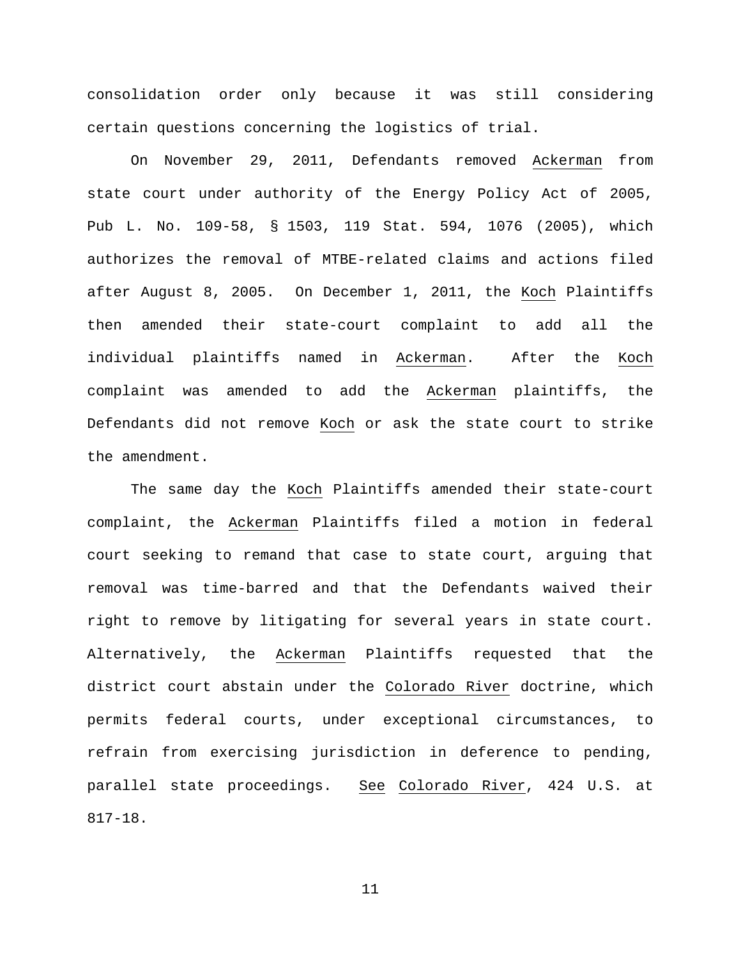consolidation order only because it was still considering certain questions concerning the logistics of trial.

On November 29, 2011, Defendants removed Ackerman from state court under authority of the Energy Policy Act of 2005, Pub L. No. 109-58, § 1503, 119 Stat. 594, 1076 (2005), which authorizes the removal of MTBE-related claims and actions filed after August 8, 2005. On December 1, 2011, the Koch Plaintiffs then amended their state-court complaint to add all the individual plaintiffs named in Ackerman. After the Koch complaint was amended to add the Ackerman plaintiffs, the Defendants did not remove Koch or ask the state court to strike the amendment.

The same day the Koch Plaintiffs amended their state-court complaint, the Ackerman Plaintiffs filed a motion in federal court seeking to remand that case to state court, arguing that removal was time-barred and that the Defendants waived their right to remove by litigating for several years in state court. Alternatively, the Ackerman Plaintiffs requested that the district court abstain under the Colorado River doctrine, which permits federal courts, under exceptional circumstances, to refrain from exercising jurisdiction in deference to pending, parallel state proceedings. See Colorado River, 424 U.S. at 817-18.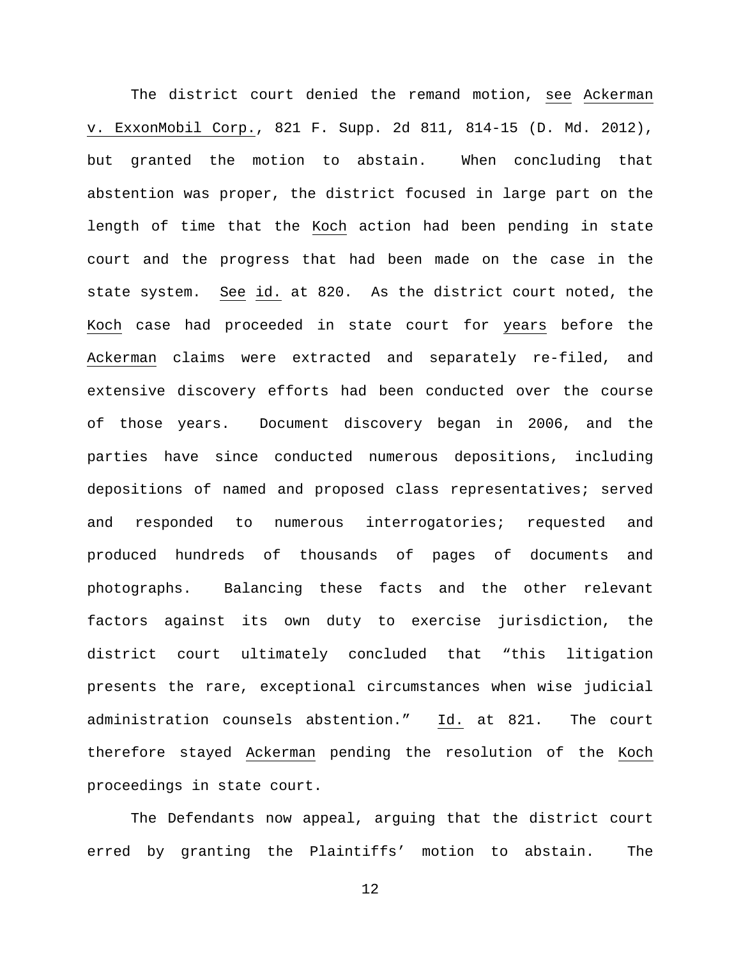The district court denied the remand motion, see Ackerman v. ExxonMobil Corp., 821 F. Supp. 2d 811, 814-15 (D. Md. 2012), but granted the motion to abstain. When concluding that abstention was proper, the district focused in large part on the length of time that the Koch action had been pending in state court and the progress that had been made on the case in the state system. See id. at 820. As the district court noted, the Koch case had proceeded in state court for years before the Ackerman claims were extracted and separately re-filed, and extensive discovery efforts had been conducted over the course of those years. Document discovery began in 2006, and the parties have since conducted numerous depositions, including depositions of named and proposed class representatives; served and responded to numerous interrogatories; requested and produced hundreds of thousands of pages of documents and photographs. Balancing these facts and the other relevant factors against its own duty to exercise jurisdiction, the district court ultimately concluded that "this litigation presents the rare, exceptional circumstances when wise judicial administration counsels abstention." Id. at 821. The court therefore stayed Ackerman pending the resolution of the Koch proceedings in state court.

The Defendants now appeal, arguing that the district court erred by granting the Plaintiffs' motion to abstain. The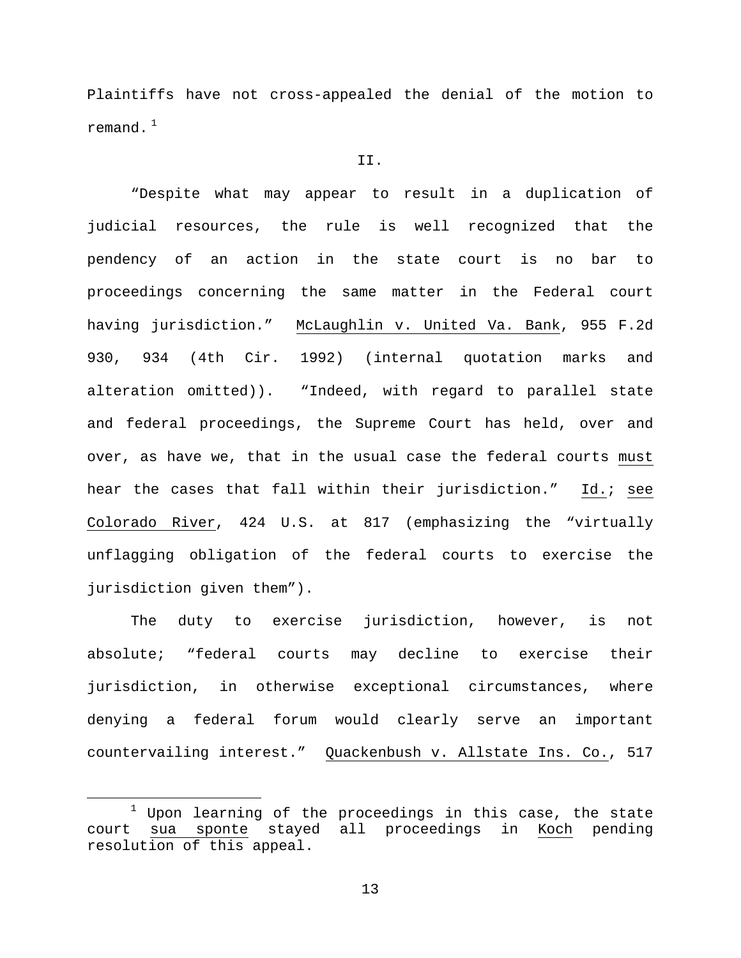Plaintiffs have not cross-appealed the denial of the motion to remand. $1$ 

## II.

"Despite what may appear to result in a duplication of judicial resources, the rule is well recognized that the pendency of an action in the state court is no bar to proceedings concerning the same matter in the Federal court having jurisdiction." McLaughlin v. United Va. Bank, 955 F.2d 930, 934 (4th Cir. 1992) (internal quotation marks and alteration omitted)). "Indeed, with regard to parallel state and federal proceedings, the Supreme Court has held, over and over, as have we, that in the usual case the federal courts must hear the cases that fall within their jurisdiction." Id.; see Colorado River, 424 U.S. at 817 (emphasizing the "virtually unflagging obligation of the federal courts to exercise the jurisdiction given them").

The duty to exercise jurisdiction, however, is not absolute; "federal courts may decline to exercise their jurisdiction, in otherwise exceptional circumstances, where denying a federal forum would clearly serve an important countervailing interest." Quackenbush v. Allstate Ins. Co., 517

<span id="page-12-0"></span> $1$  Upon learning of the proceedings in this case, the state court sua sponte stayed all proceedings in Koch pending resolution of this appeal.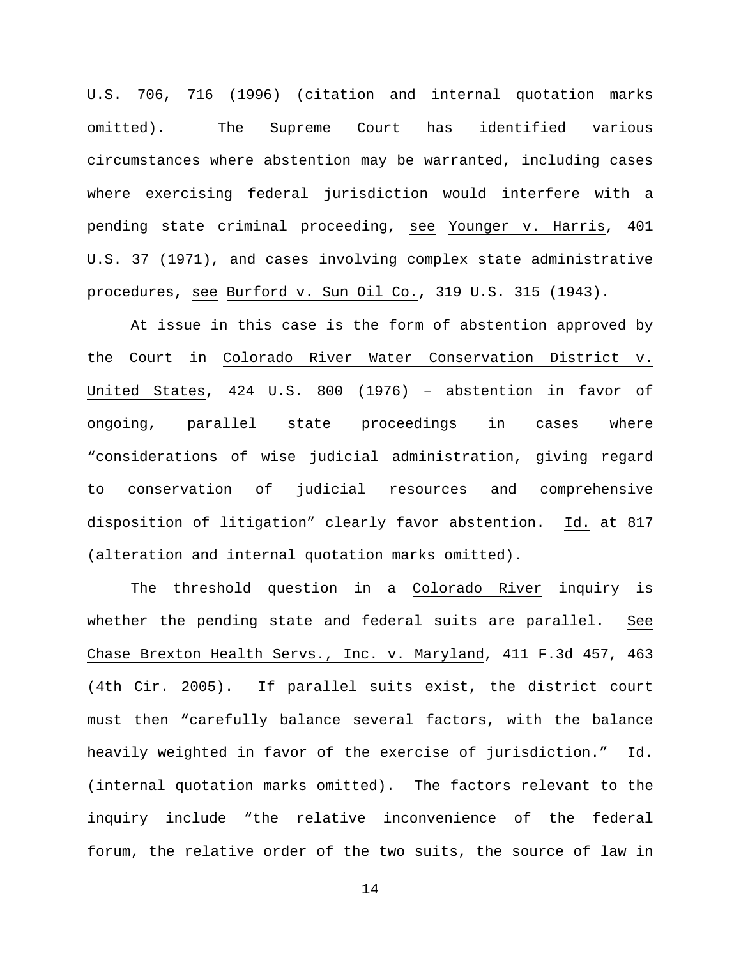U.S. 706, 716 (1996) (citation and internal quotation marks omitted). The Supreme Court has identified various circumstances where abstention may be warranted, including cases where exercising federal jurisdiction would interfere with a pending state criminal proceeding, see Younger v. Harris, 401 U.S. 37 (1971), and cases involving complex state administrative procedures, see Burford v. Sun Oil Co., 319 U.S. 315 (1943).

At issue in this case is the form of abstention approved by the Court in Colorado River Water Conservation District v. United States, 424 U.S. 800 (1976) – abstention in favor of ongoing, parallel state proceedings in cases where "considerations of wise judicial administration, giving regard to conservation of judicial resources and comprehensive disposition of litigation" clearly favor abstention. Id. at 817 (alteration and internal quotation marks omitted).

The threshold question in a Colorado River inquiry is whether the pending state and federal suits are parallel. See Chase Brexton Health Servs., Inc. v. Maryland, 411 F.3d 457, 463 (4th Cir. 2005). If parallel suits exist, the district court must then "carefully balance several factors, with the balance heavily weighted in favor of the exercise of jurisdiction." Id. (internal quotation marks omitted). The factors relevant to the inquiry include "the relative inconvenience of the federal forum, the relative order of the two suits, the source of law in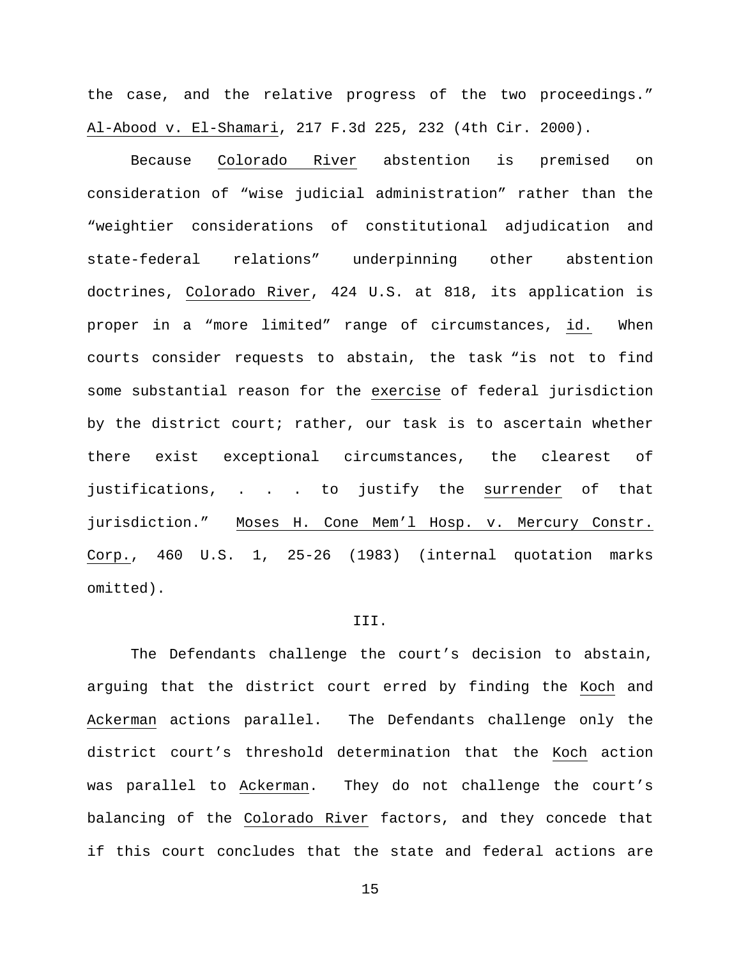the case, and the relative progress of the two proceedings." Al-Abood v. El-Shamari, 217 F.3d 225, 232 (4th Cir. 2000).

Because Colorado River abstention is premised on consideration of "wise judicial administration" rather than the "weightier considerations of constitutional adjudication and state-federal relations" underpinning other abstention doctrines, Colorado River, 424 U.S. at 818, its application is proper in a "more limited" range of circumstances, id. When courts consider requests to abstain, the task "is not to find some substantial reason for the exercise of federal jurisdiction by the district court; rather, our task is to ascertain whether there exist exceptional circumstances, the clearest of justifications, . . . to justify the surrender of that jurisdiction." Moses H. Cone Mem'l Hosp. v. Mercury Constr. Corp., 460 U.S. 1, 25-26 (1983) (internal quotation marks omitted).

### III.

The Defendants challenge the court's decision to abstain, arguing that the district court erred by finding the Koch and Ackerman actions parallel. The Defendants challenge only the district court's threshold determination that the Koch action was parallel to Ackerman. They do not challenge the court's balancing of the Colorado River factors, and they concede that if this court concludes that the state and federal actions are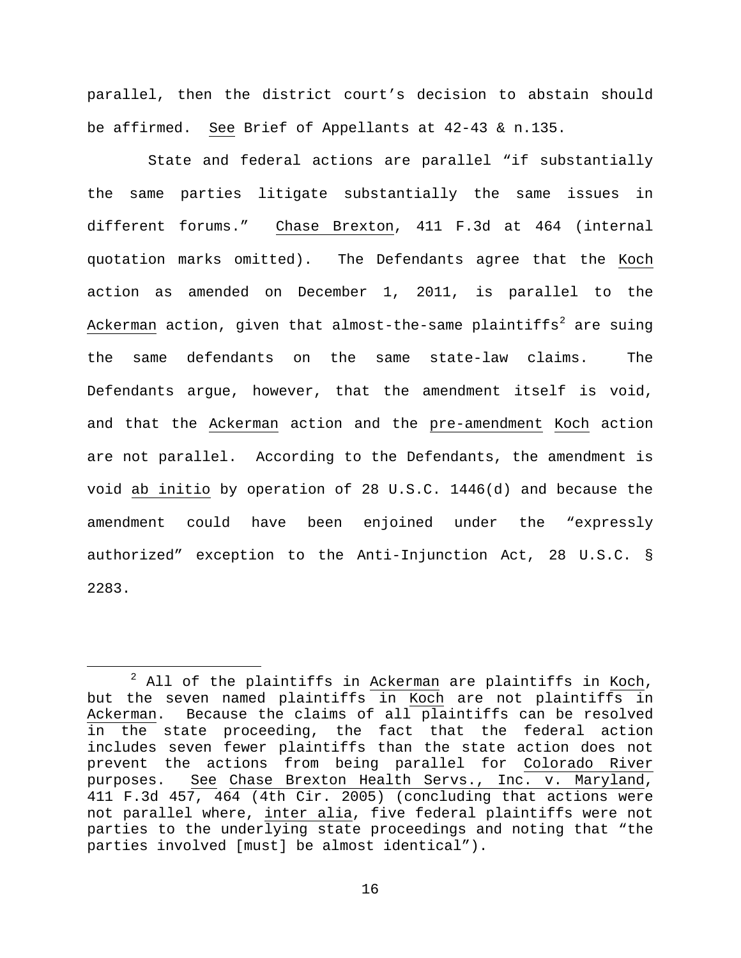parallel, then the district court's decision to abstain should be affirmed. See Brief of Appellants at 42-43 & n.135.

 State and federal actions are parallel "if substantially the same parties litigate substantially the same issues in different forums." Chase Brexton, 411 F.3d at 464 (internal quotation marks omitted). The Defendants agree that the Koch action as amended on December 1, 2011, is parallel to the Ackerman action, given that almost-the-same plaintiffs<sup>[2](#page-15-0)</sup> are suing the same defendants on the same state-law claims. The Defendants argue, however, that the amendment itself is void, and that the Ackerman action and the pre-amendment Koch action are not parallel. According to the Defendants, the amendment is void ab initio by operation of 28 U.S.C. 1446(d) and because the amendment could have been enjoined under the "expressly authorized" exception to the Anti-Injunction Act, 28 U.S.C. § 2283.

<span id="page-15-0"></span> $2$  All of the plaintiffs in Ackerman are plaintiffs in Koch, but the seven named plaintiffs in Koch are not plaintiffs in Ackerman. Because the claims of all plaintiffs can be resolved in the state proceeding, the fact that the federal action includes seven fewer plaintiffs than the state action does not prevent the actions from being parallel for Colorado River purposes. See Chase Brexton Health Servs., Inc. v. Maryland, 411 F.3d 457, 464 (4th Cir. 2005) (concluding that actions were not parallel where, inter alia, five federal plaintiffs were not parties to the underlying state proceedings and noting that "the parties involved [must] be almost identical").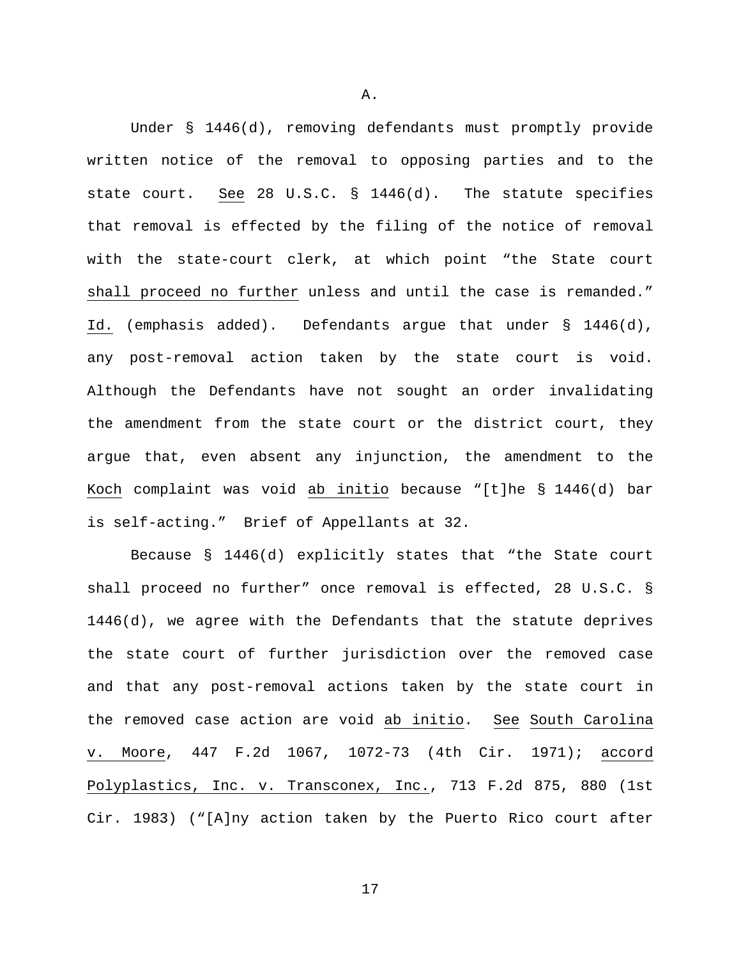Under § 1446(d), removing defendants must promptly provide written notice of the removal to opposing parties and to the state court. See 28 U.S.C. § 1446(d). The statute specifies that removal is effected by the filing of the notice of removal with the state-court clerk, at which point "the State court shall proceed no further unless and until the case is remanded." Id. (emphasis added). Defendants argue that under § 1446(d), any post-removal action taken by the state court is void. Although the Defendants have not sought an order invalidating the amendment from the state court or the district court, they argue that, even absent any injunction, the amendment to the Koch complaint was void ab initio because "[t]he § 1446(d) bar is self-acting." Brief of Appellants at 32.

Because § 1446(d) explicitly states that "the State court shall proceed no further" once removal is effected, 28 U.S.C. § 1446(d), we agree with the Defendants that the statute deprives the state court of further jurisdiction over the removed case and that any post-removal actions taken by the state court in the removed case action are void ab initio. See South Carolina v. Moore, 447 F.2d 1067, 1072-73 (4th Cir. 1971); accord Polyplastics, Inc. v. Transconex, Inc., 713 F.2d 875, 880 (1st Cir. 1983) ("[A]ny action taken by the Puerto Rico court after

A.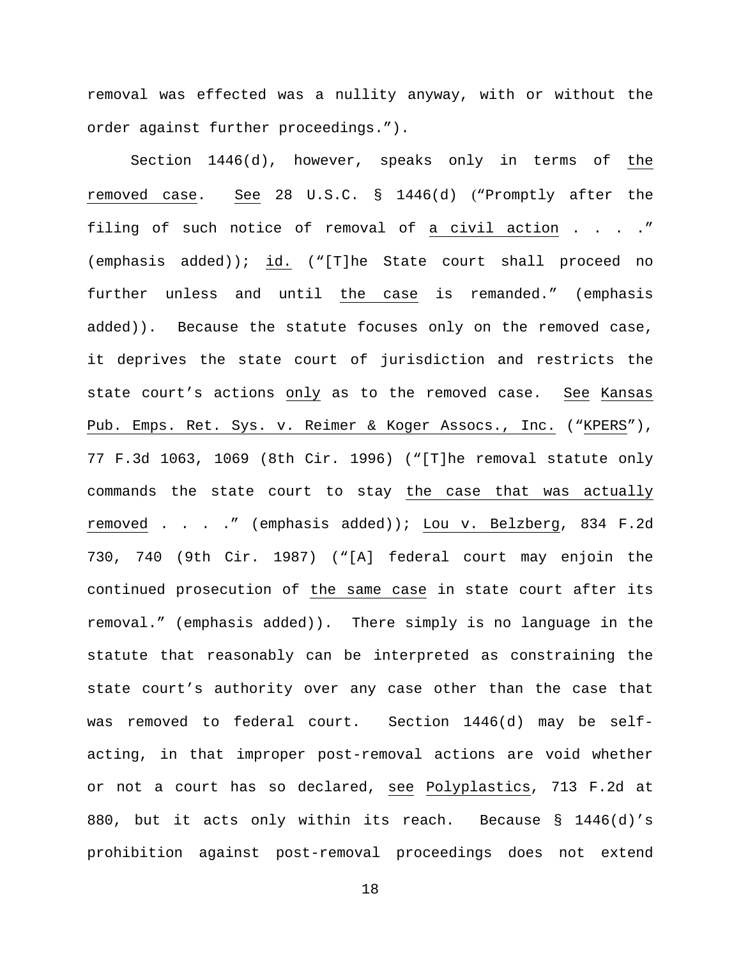removal was effected was a nullity anyway, with or without the order against further proceedings.").

Section 1446(d), however, speaks only in terms of the removed case. See 28 U.S.C. § 1446(d) ("Promptly after the filing of such notice of removal of a civil action . . . ." (emphasis added)); id. ("[T]he State court shall proceed no further unless and until the case is remanded." (emphasis added)). Because the statute focuses only on the removed case, it deprives the state court of jurisdiction and restricts the state court's actions only as to the removed case. See Kansas Pub. Emps. Ret. Sys. v. Reimer & Koger Assocs., Inc. ("KPERS"), 77 F.3d 1063, 1069 (8th Cir. 1996) ("[T]he removal statute only commands the state court to stay the case that was actually removed . . . ." (emphasis added)); Lou v. Belzberg, 834 F.2d 730, 740 (9th Cir. 1987) ("[A] federal court may enjoin the continued prosecution of the same case in state court after its removal." (emphasis added)). There simply is no language in the statute that reasonably can be interpreted as constraining the state court's authority over any case other than the case that was removed to federal court. Section 1446(d) may be selfacting, in that improper post-removal actions are void whether or not a court has so declared, see Polyplastics, 713 F.2d at 880, but it acts only within its reach. Because § 1446(d)'s prohibition against post-removal proceedings does not extend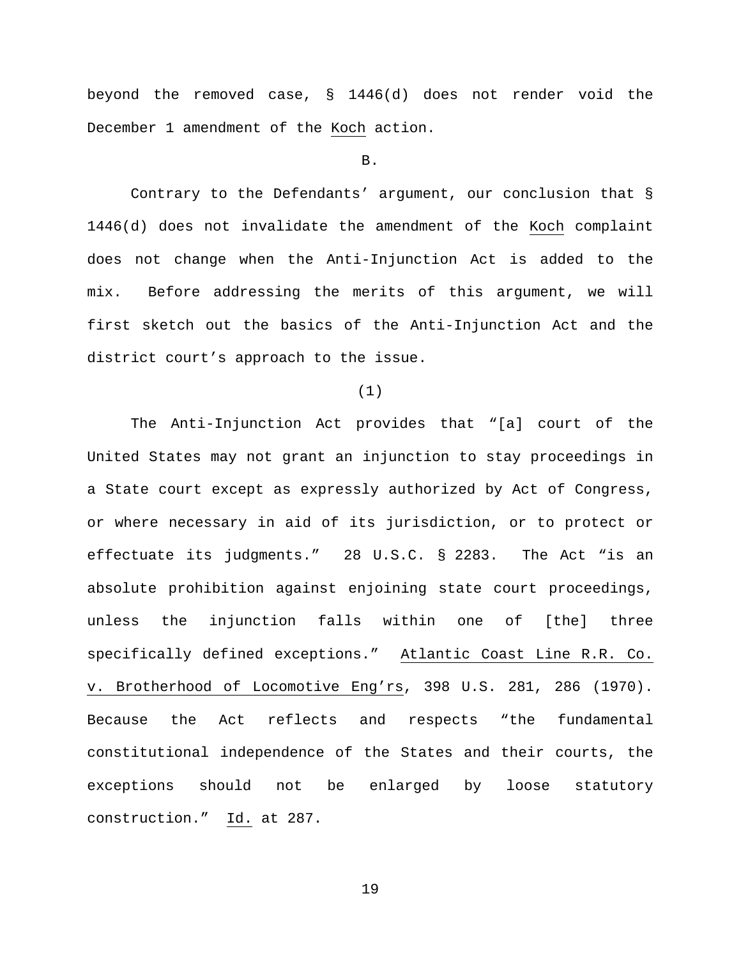beyond the removed case, § 1446(d) does not render void the December 1 amendment of the Koch action.

B.

Contrary to the Defendants' argument, our conclusion that § 1446(d) does not invalidate the amendment of the Koch complaint does not change when the Anti-Injunction Act is added to the mix. Before addressing the merits of this argument, we will first sketch out the basics of the Anti-Injunction Act and the district court's approach to the issue.

(1)

The Anti-Injunction Act provides that "[a] court of the United States may not grant an injunction to stay proceedings in a State court except as expressly authorized by Act of Congress, or where necessary in aid of its jurisdiction, or to protect or effectuate its judgments." 28 U.S.C. § 2283. The Act "is an absolute prohibition against enjoining state court proceedings, unless the injunction falls within one of [the] three specifically defined exceptions." Atlantic Coast Line R.R. Co. v. Brotherhood of Locomotive Eng'rs, 398 U.S. 281, 286 (1970). Because the Act reflects and respects "the fundamental constitutional independence of the States and their courts, the exceptions should not be enlarged by loose statutory construction." Id. at 287.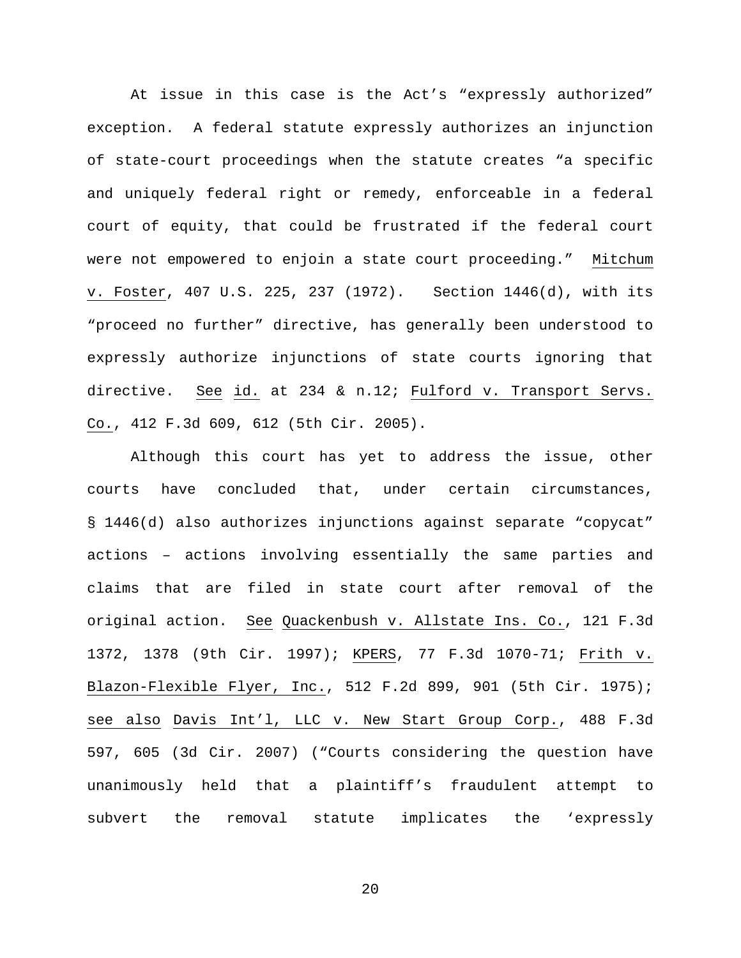At issue in this case is the Act's "expressly authorized" exception. A federal statute expressly authorizes an injunction of state-court proceedings when the statute creates "a specific and uniquely federal right or remedy, enforceable in a federal court of equity, that could be frustrated if the federal court were not empowered to enjoin a state court proceeding." Mitchum v. Foster, 407 U.S. 225, 237 (1972). Section 1446(d), with its "proceed no further" directive, has generally been understood to expressly authorize injunctions of state courts ignoring that directive. See id. at 234 & n.12; Fulford v. Transport Servs. Co., 412 F.3d 609, 612 (5th Cir. 2005).

Although this court has yet to address the issue, other courts have concluded that, under certain circumstances, § 1446(d) also authorizes injunctions against separate "copycat" actions – actions involving essentially the same parties and claims that are filed in state court after removal of the original action. See Quackenbush v. Allstate Ins. Co., 121 F.3d 1372, 1378 (9th Cir. 1997); KPERS, 77 F.3d 1070-71; Frith v. Blazon-Flexible Flyer, Inc., 512 F.2d 899, 901 (5th Cir. 1975); see also Davis Int'l, LLC v. New Start Group Corp., 488 F.3d 597, 605 (3d Cir. 2007) ("Courts considering the question have unanimously held that a plaintiff's fraudulent attempt to subvert the removal statute implicates the 'expressly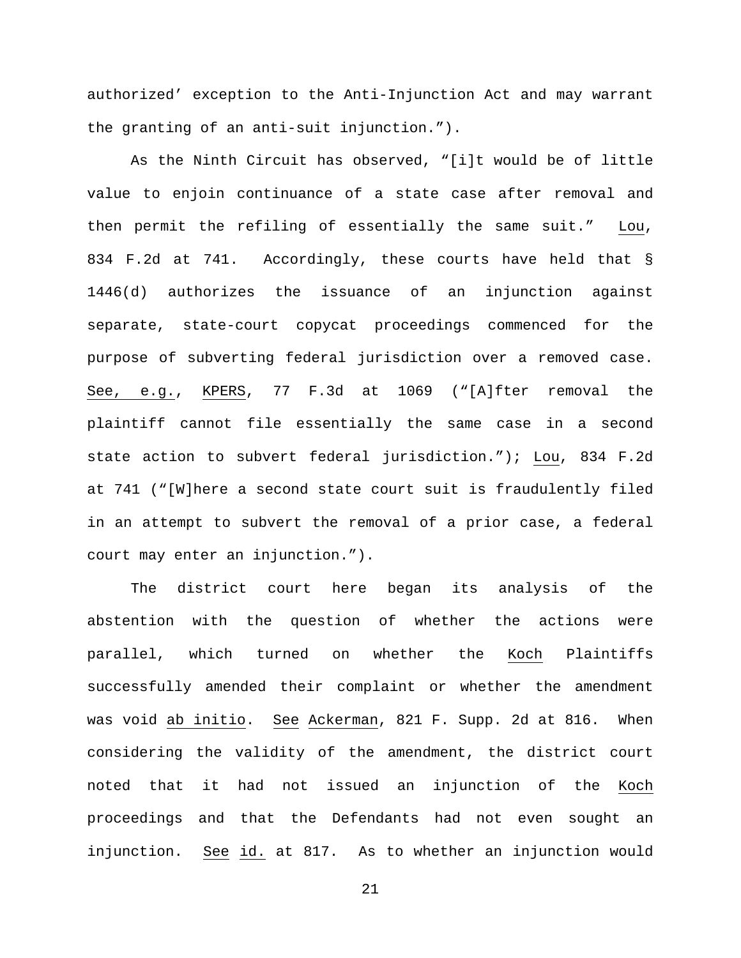authorized' exception to the Anti-Injunction Act and may warrant the granting of an anti-suit injunction.").

As the Ninth Circuit has observed, "[i]t would be of little value to enjoin continuance of a state case after removal and then permit the refiling of essentially the same suit." Lou, 834 F.2d at 741. Accordingly, these courts have held that § 1446(d) authorizes the issuance of an injunction against separate, state-court copycat proceedings commenced for the purpose of subverting federal jurisdiction over a removed case. See, e.g., KPERS, 77 F.3d at 1069 ("[A]fter removal the plaintiff cannot file essentially the same case in a second state action to subvert federal jurisdiction."); Lou, 834 F.2d at 741 ("[W]here a second state court suit is fraudulently filed in an attempt to subvert the removal of a prior case, a federal court may enter an injunction.").

The district court here began its analysis of the abstention with the question of whether the actions were parallel, which turned on whether the Koch Plaintiffs successfully amended their complaint or whether the amendment was void ab initio. See Ackerman, 821 F. Supp. 2d at 816. When considering the validity of the amendment, the district court noted that it had not issued an injunction of the Koch proceedings and that the Defendants had not even sought an injunction. See id. at 817. As to whether an injunction would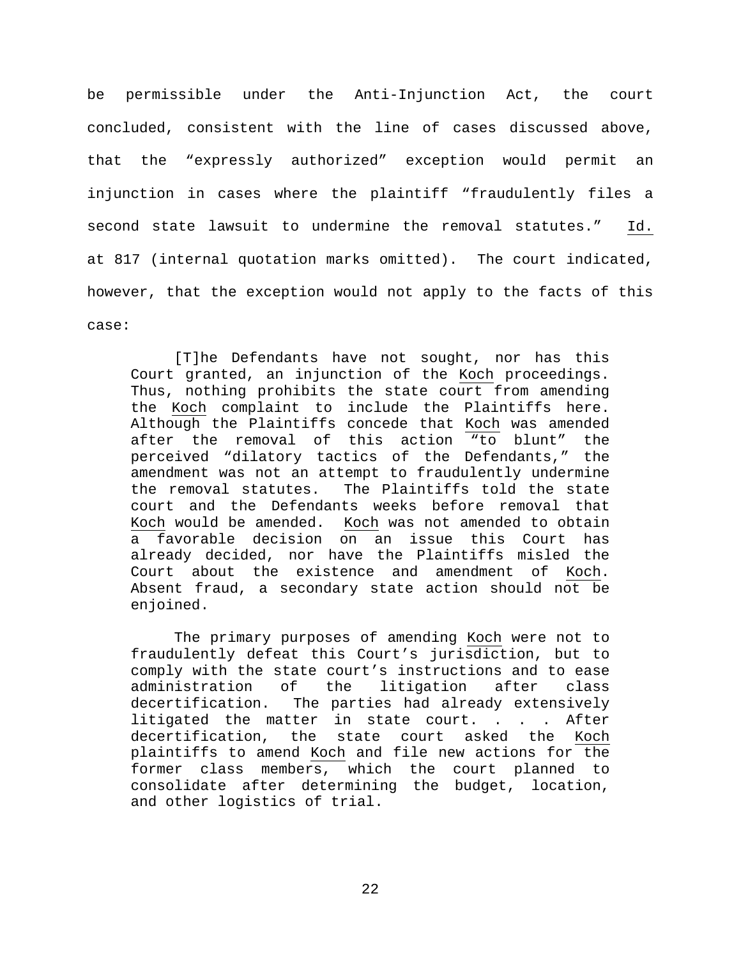be permissible under the Anti-Injunction Act, the court concluded, consistent with the line of cases discussed above, that the "expressly authorized" exception would permit an injunction in cases where the plaintiff "fraudulently files a second state lawsuit to undermine the removal statutes." Id. at 817 (internal quotation marks omitted). The court indicated, however, that the exception would not apply to the facts of this case:

[T]he Defendants have not sought, nor has this Court granted, an injunction of the Koch proceedings. Thus, nothing prohibits the state court from amending the Koch complaint to include the Plaintiffs here. Although the Plaintiffs concede that Koch was amended after the removal of this action "to blunt" the perceived "dilatory tactics of the Defendants," the amendment was not an attempt to fraudulently undermine the removal statutes. The Plaintiffs told the state court and the Defendants weeks before removal that Koch would be amended. Koch was not amended to obtain a favorable decision on an issue this Court has already decided, nor have the Plaintiffs misled the Court about the existence and amendment of Koch. Absent fraud, a secondary state action should not be enjoined.

The primary purposes of amending Koch were not to fraudulently defeat this Court's jurisdiction, but to comply with the state court's instructions and to ease<br>administration of the litigation after class administration of the litigation after class<br>decertification. The parties had already extensively The parties had already extensively litigated the matter in state court. . . . After decertification, the state court asked the Koch plaintiffs to amend Koch and file new actions for the former class members, which the court planned to consolidate after determining the budget, location, and other logistics of trial.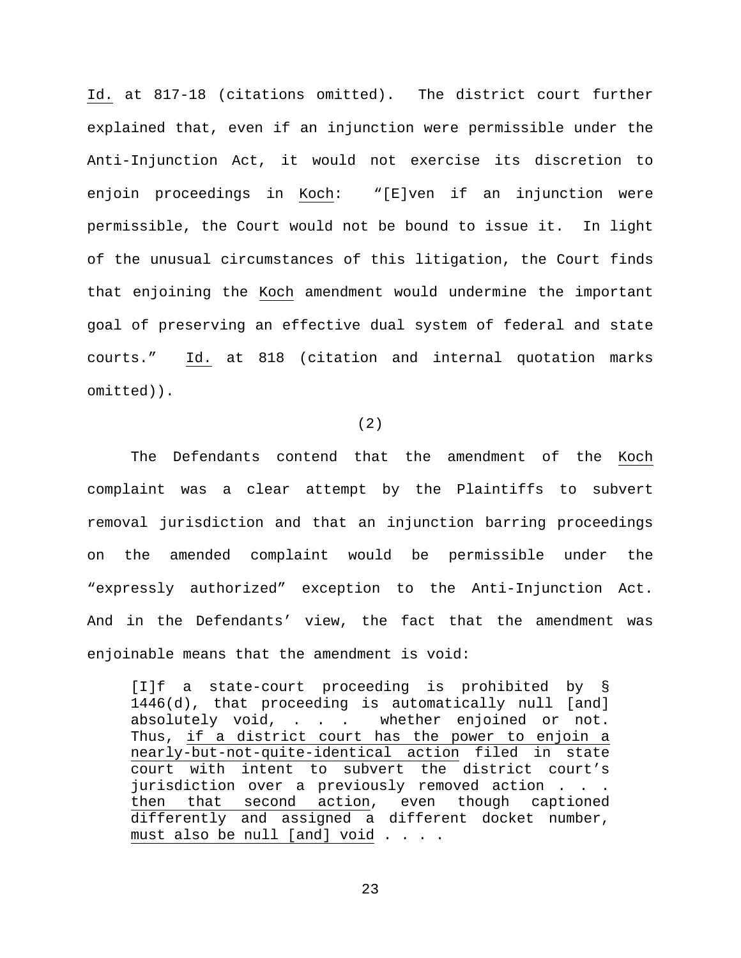Id. at 817-18 (citations omitted). The district court further explained that, even if an injunction were permissible under the Anti-Injunction Act, it would not exercise its discretion to enjoin proceedings in Koch: "[E]ven if an injunction were permissible, the Court would not be bound to issue it. In light of the unusual circumstances of this litigation, the Court finds that enjoining the Koch amendment would undermine the important goal of preserving an effective dual system of federal and state courts." Id. at 818 (citation and internal quotation marks omitted)).

(2)

The Defendants contend that the amendment of the Koch complaint was a clear attempt by the Plaintiffs to subvert removal jurisdiction and that an injunction barring proceedings on the amended complaint would be permissible under the "expressly authorized" exception to the Anti-Injunction Act. And in the Defendants' view, the fact that the amendment was enjoinable means that the amendment is void:

[I]f a state-court proceeding is prohibited by § 1446(d), that proceeding is automatically null [and] absolutely void, . . . whether enjoined or not. Thus, if a district court has the power to enjoin a nearly-but-not-quite-identical action filed in state court with intent to subvert the district court's jurisdiction over a previously removed action . . . then that second action, even though captioned differently and assigned a different docket number, must also be null [and] void . . . .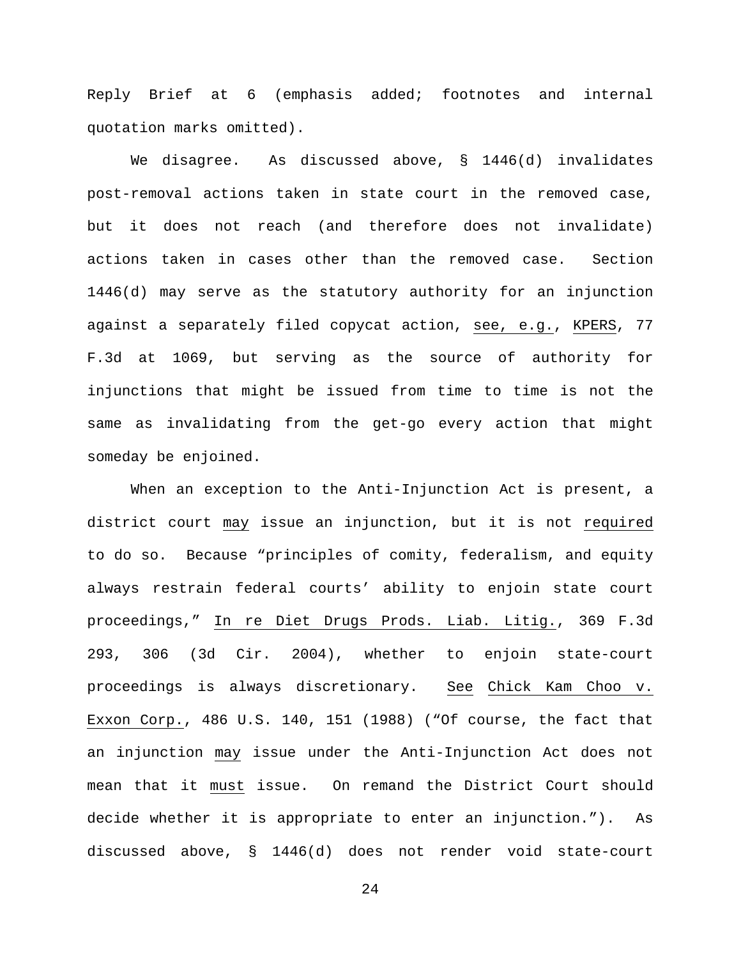Reply Brief at 6 (emphasis added; footnotes and internal quotation marks omitted).

We disagree. As discussed above, § 1446(d) invalidates post-removal actions taken in state court in the removed case, but it does not reach (and therefore does not invalidate) actions taken in cases other than the removed case. Section 1446(d) may serve as the statutory authority for an injunction against a separately filed copycat action, see, e.g., KPERS, 77 F.3d at 1069, but serving as the source of authority for injunctions that might be issued from time to time is not the same as invalidating from the get-go every action that might someday be enjoined.

When an exception to the Anti-Injunction Act is present, a district court may issue an injunction, but it is not required to do so. Because "principles of comity, federalism, and equity always restrain federal courts' ability to enjoin state court proceedings," In re Diet Drugs Prods. Liab. Litig., 369 F.3d 293, 306 (3d Cir. 2004), whether to enjoin state-court proceedings is always discretionary. See Chick Kam Choo v. Exxon Corp., 486 U.S. 140, 151 (1988) ("Of course, the fact that an injunction may issue under the Anti-Injunction Act does not mean that it must issue. On remand the District Court should decide whether it is appropriate to enter an injunction."). As discussed above, § 1446(d) does not render void state-court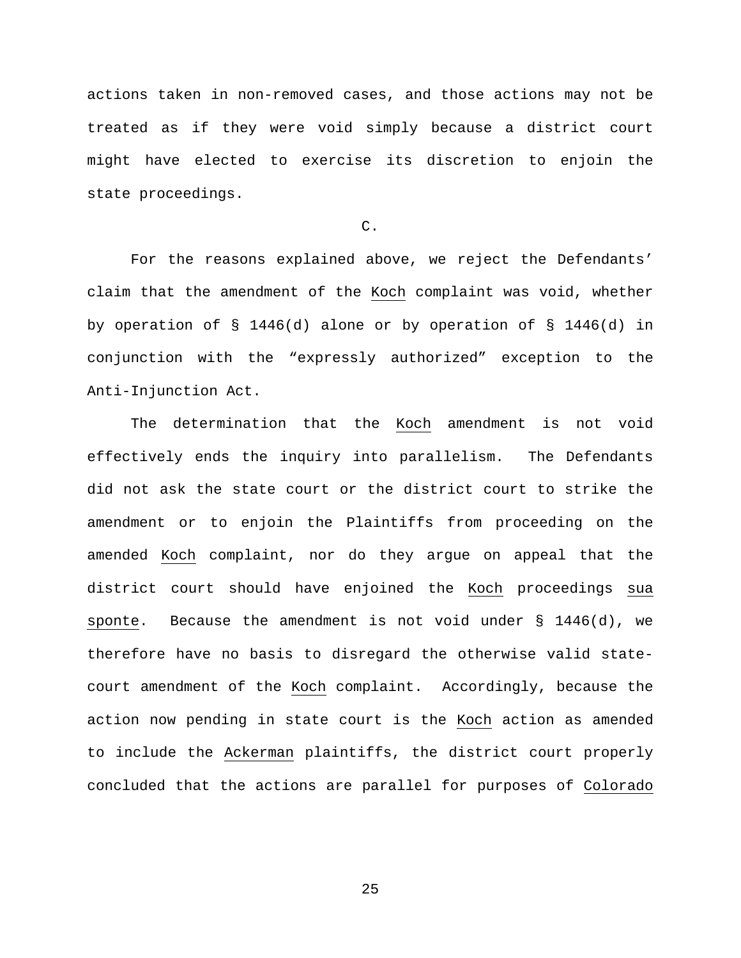actions taken in non-removed cases, and those actions may not be treated as if they were void simply because a district court might have elected to exercise its discretion to enjoin the state proceedings.

C.

For the reasons explained above, we reject the Defendants' claim that the amendment of the Koch complaint was void, whether by operation of § 1446(d) alone or by operation of § 1446(d) in conjunction with the "expressly authorized" exception to the Anti-Injunction Act.

The determination that the Koch amendment is not void effectively ends the inquiry into parallelism. The Defendants did not ask the state court or the district court to strike the amendment or to enjoin the Plaintiffs from proceeding on the amended Koch complaint, nor do they argue on appeal that the district court should have enjoined the Koch proceedings sua sponte. Because the amendment is not void under  $\S$  1446(d), we therefore have no basis to disregard the otherwise valid statecourt amendment of the Koch complaint. Accordingly, because the action now pending in state court is the Koch action as amended to include the Ackerman plaintiffs, the district court properly concluded that the actions are parallel for purposes of Colorado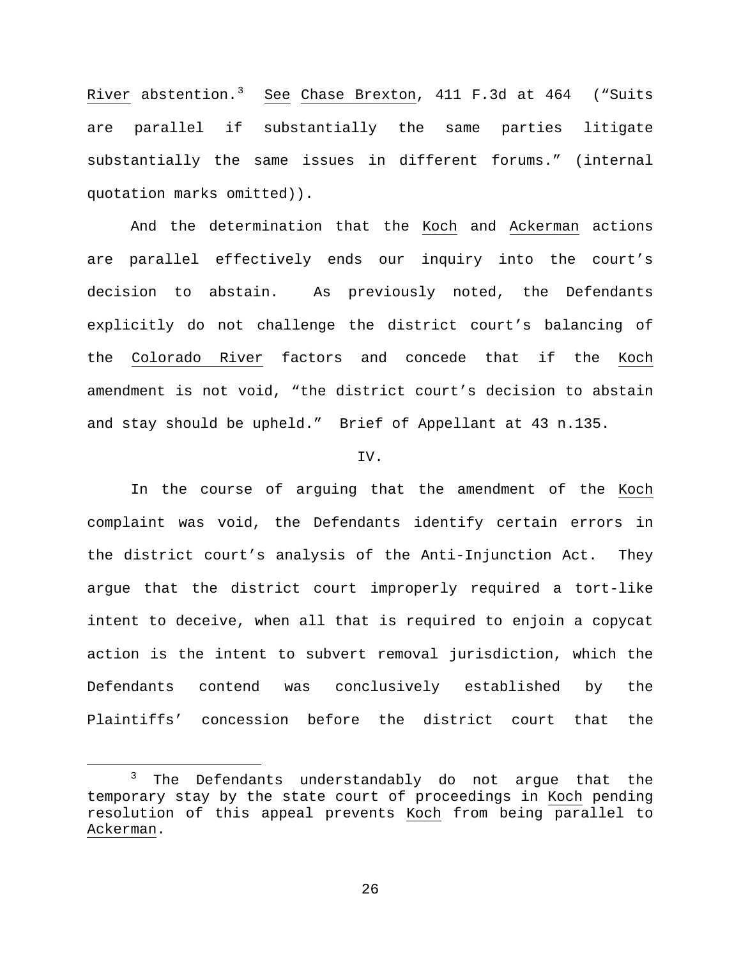River abstention.<sup>[3](#page-25-0)</sup> See Chase Brexton, 411 F.3d at 464 ("Suits are parallel if substantially the same parties litigate substantially the same issues in different forums." (internal quotation marks omitted)).

And the determination that the Koch and Ackerman actions are parallel effectively ends our inquiry into the court's decision to abstain. As previously noted, the Defendants explicitly do not challenge the district court's balancing of the Colorado River factors and concede that if the Koch amendment is not void, "the district court's decision to abstain and stay should be upheld." Brief of Appellant at 43 n.135.

## IV.

In the course of arguing that the amendment of the Koch complaint was void, the Defendants identify certain errors in the district court's analysis of the Anti-Injunction Act. They argue that the district court improperly required a tort-like intent to deceive, when all that is required to enjoin a copycat action is the intent to subvert removal jurisdiction, which the Defendants contend was conclusively established by the Plaintiffs' concession before the district court that the

<span id="page-25-0"></span><sup>&</sup>lt;sup>3</sup> The Defendants understandably do not argue that the temporary stay by the state court of proceedings in Koch pending resolution of this appeal prevents Koch from being parallel to Ackerman.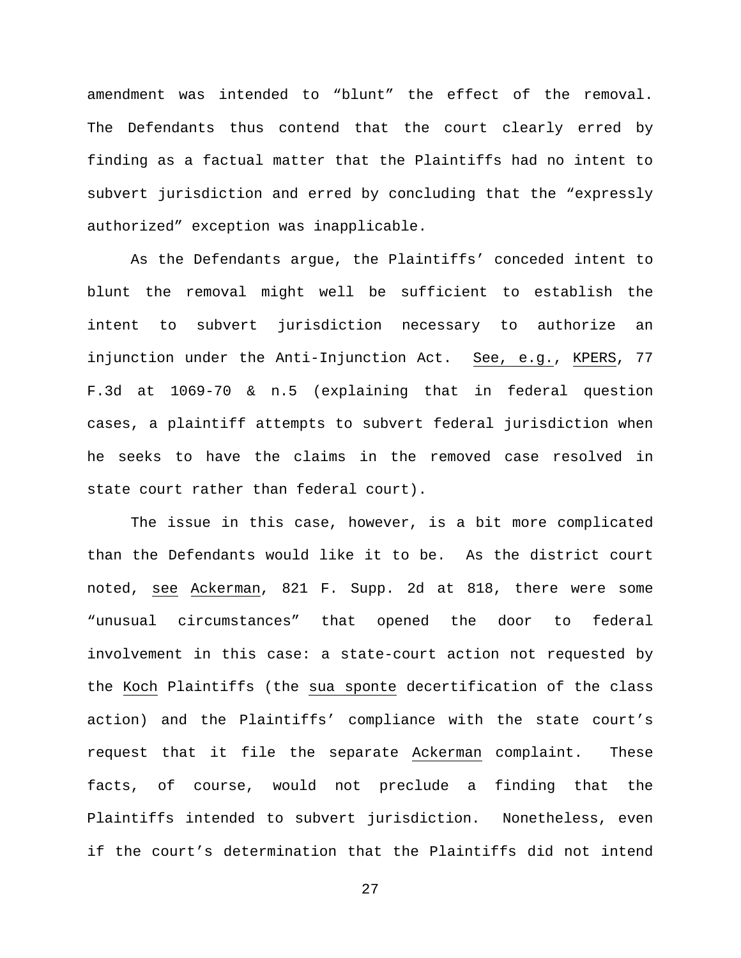amendment was intended to "blunt" the effect of the removal. The Defendants thus contend that the court clearly erred by finding as a factual matter that the Plaintiffs had no intent to subvert jurisdiction and erred by concluding that the "expressly authorized" exception was inapplicable.

As the Defendants argue, the Plaintiffs' conceded intent to blunt the removal might well be sufficient to establish the intent to subvert jurisdiction necessary to authorize an injunction under the Anti-Injunction Act. See, e.g., KPERS, 77 F.3d at 1069-70 & n.5 (explaining that in federal question cases, a plaintiff attempts to subvert federal jurisdiction when he seeks to have the claims in the removed case resolved in state court rather than federal court).

The issue in this case, however, is a bit more complicated than the Defendants would like it to be. As the district court noted, see Ackerman, 821 F. Supp. 2d at 818, there were some "unusual circumstances" that opened the door to federal involvement in this case: a state-court action not requested by the Koch Plaintiffs (the sua sponte decertification of the class action) and the Plaintiffs' compliance with the state court's request that it file the separate Ackerman complaint. These facts, of course, would not preclude a finding that the Plaintiffs intended to subvert jurisdiction. Nonetheless, even if the court's determination that the Plaintiffs did not intend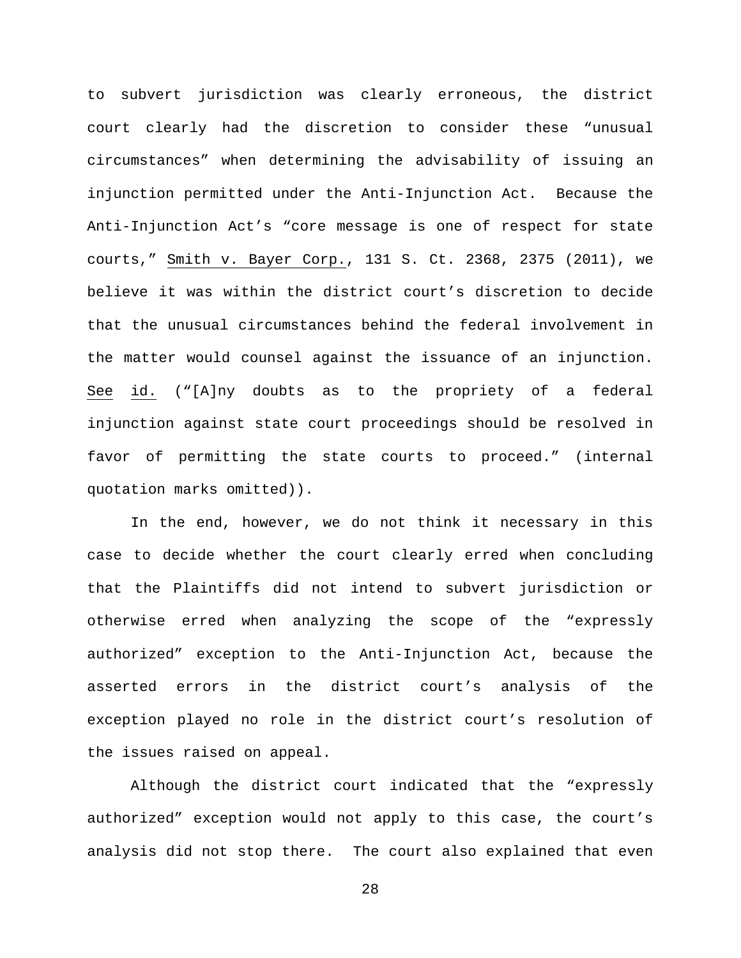to subvert jurisdiction was clearly erroneous, the district court clearly had the discretion to consider these "unusual circumstances" when determining the advisability of issuing an injunction permitted under the Anti-Injunction Act. Because the Anti-Injunction Act's "core message is one of respect for state courts," Smith v. Bayer Corp., 131 S. Ct. 2368, 2375 (2011), we believe it was within the district court's discretion to decide that the unusual circumstances behind the federal involvement in the matter would counsel against the issuance of an injunction. See id. ("[A]ny doubts as to the propriety of a federal injunction against state court proceedings should be resolved in favor of permitting the state courts to proceed." (internal quotation marks omitted)).

In the end, however, we do not think it necessary in this case to decide whether the court clearly erred when concluding that the Plaintiffs did not intend to subvert jurisdiction or otherwise erred when analyzing the scope of the "expressly authorized" exception to the Anti-Injunction Act, because the asserted errors in the district court's analysis of the exception played no role in the district court's resolution of the issues raised on appeal.

Although the district court indicated that the "expressly authorized" exception would not apply to this case, the court's analysis did not stop there. The court also explained that even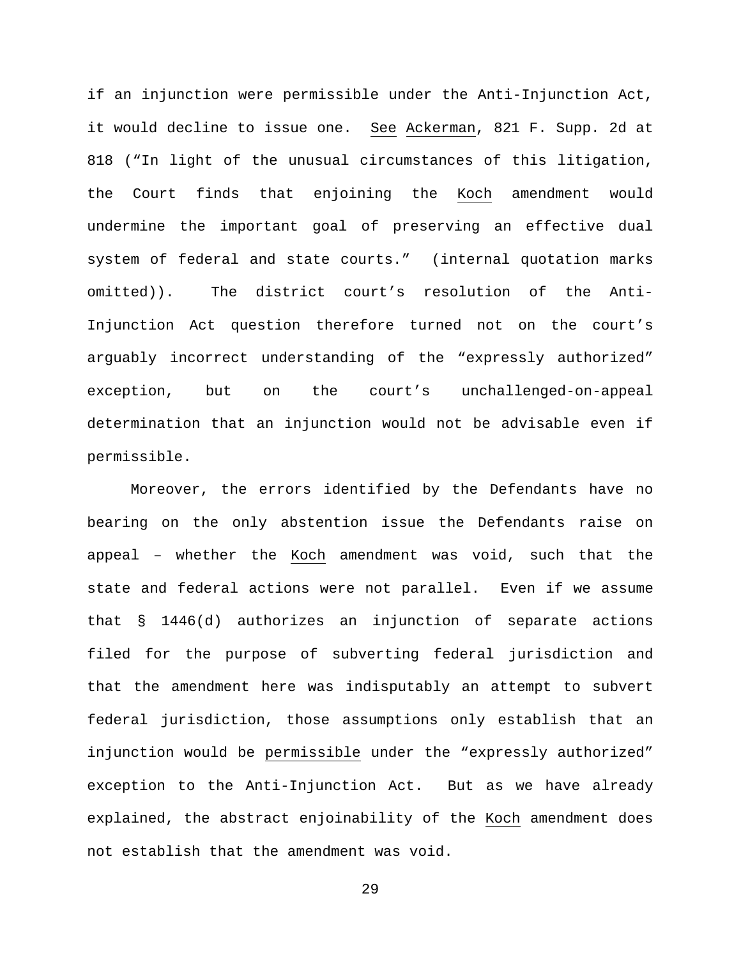if an injunction were permissible under the Anti-Injunction Act, it would decline to issue one. See Ackerman, 821 F. Supp. 2d at 818 ("In light of the unusual circumstances of this litigation, the Court finds that enjoining the Koch amendment would undermine the important goal of preserving an effective dual system of federal and state courts." (internal quotation marks omitted)). The district court's resolution of the Anti-Injunction Act question therefore turned not on the court's arguably incorrect understanding of the "expressly authorized" exception, but on the court's unchallenged-on-appeal determination that an injunction would not be advisable even if permissible.

Moreover, the errors identified by the Defendants have no bearing on the only abstention issue the Defendants raise on appeal – whether the Koch amendment was void, such that the state and federal actions were not parallel. Even if we assume that § 1446(d) authorizes an injunction of separate actions filed for the purpose of subverting federal jurisdiction and that the amendment here was indisputably an attempt to subvert federal jurisdiction, those assumptions only establish that an injunction would be permissible under the "expressly authorized" exception to the Anti-Injunction Act. But as we have already explained, the abstract enjoinability of the Koch amendment does not establish that the amendment was void.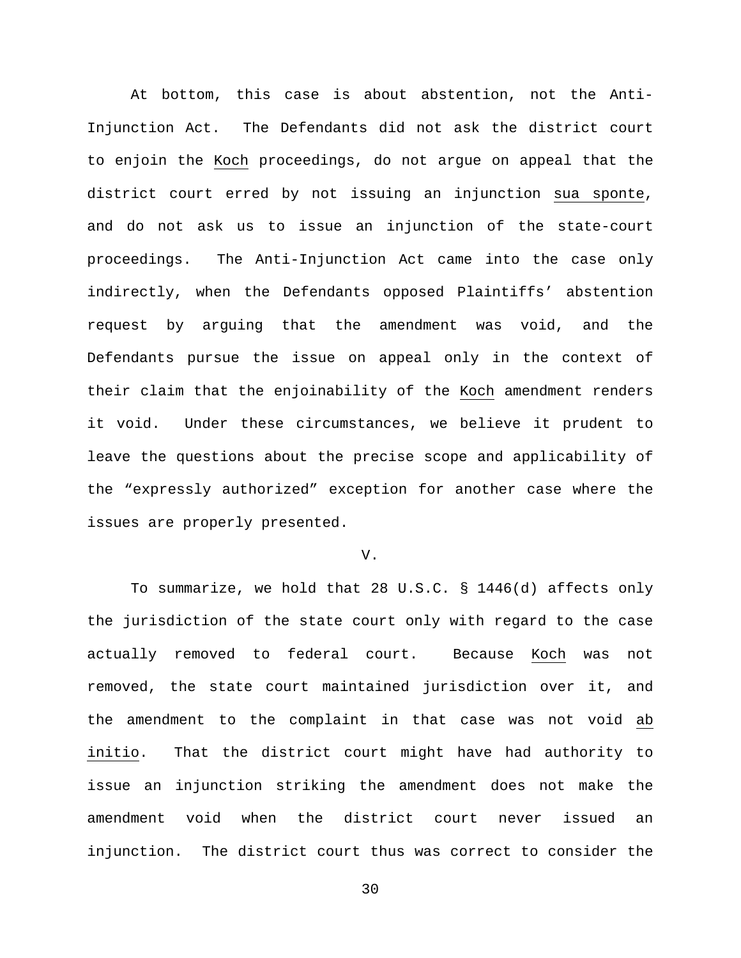At bottom, this case is about abstention, not the Anti-Injunction Act. The Defendants did not ask the district court to enjoin the Koch proceedings, do not argue on appeal that the district court erred by not issuing an injunction sua sponte, and do not ask us to issue an injunction of the state-court proceedings. The Anti-Injunction Act came into the case only indirectly, when the Defendants opposed Plaintiffs' abstention request by arguing that the amendment was void, and the Defendants pursue the issue on appeal only in the context of their claim that the enjoinability of the Koch amendment renders it void. Under these circumstances, we believe it prudent to leave the questions about the precise scope and applicability of the "expressly authorized" exception for another case where the issues are properly presented.

### V.

To summarize, we hold that 28 U.S.C. § 1446(d) affects only the jurisdiction of the state court only with regard to the case actually removed to federal court. Because Koch was not removed, the state court maintained jurisdiction over it, and the amendment to the complaint in that case was not void ab initio. That the district court might have had authority to issue an injunction striking the amendment does not make the amendment void when the district court never issued an injunction. The district court thus was correct to consider the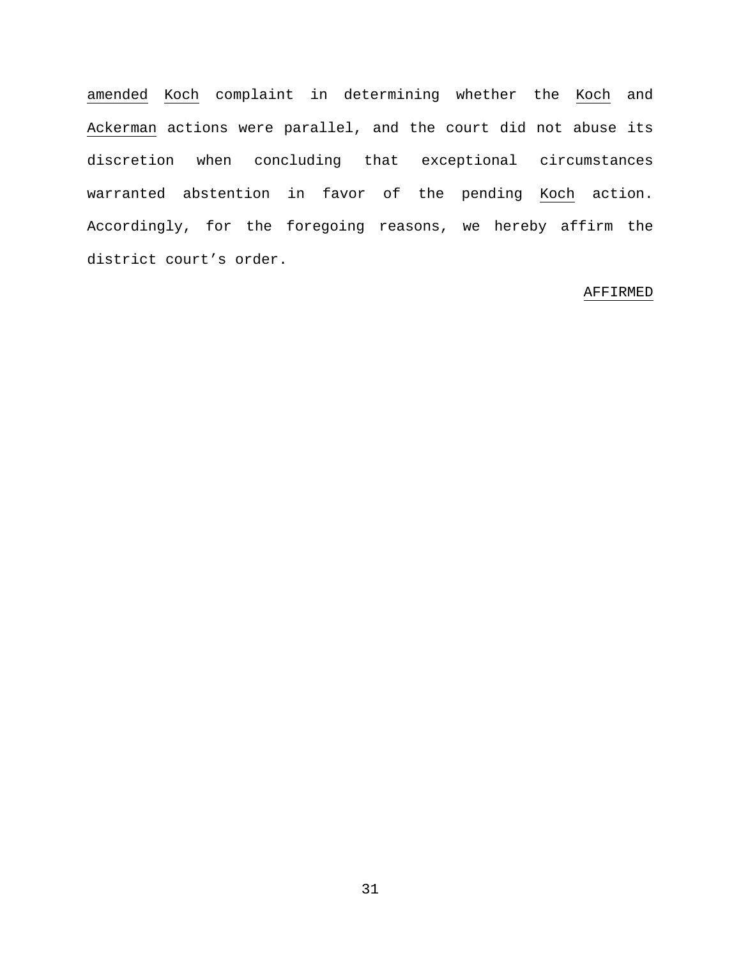amended Koch complaint in determining whether the Koch and Ackerman actions were parallel, and the court did not abuse its discretion when concluding that exceptional circumstances warranted abstention in favor of the pending Koch action. Accordingly, for the foregoing reasons, we hereby affirm the district court's order.

## AFFIRMED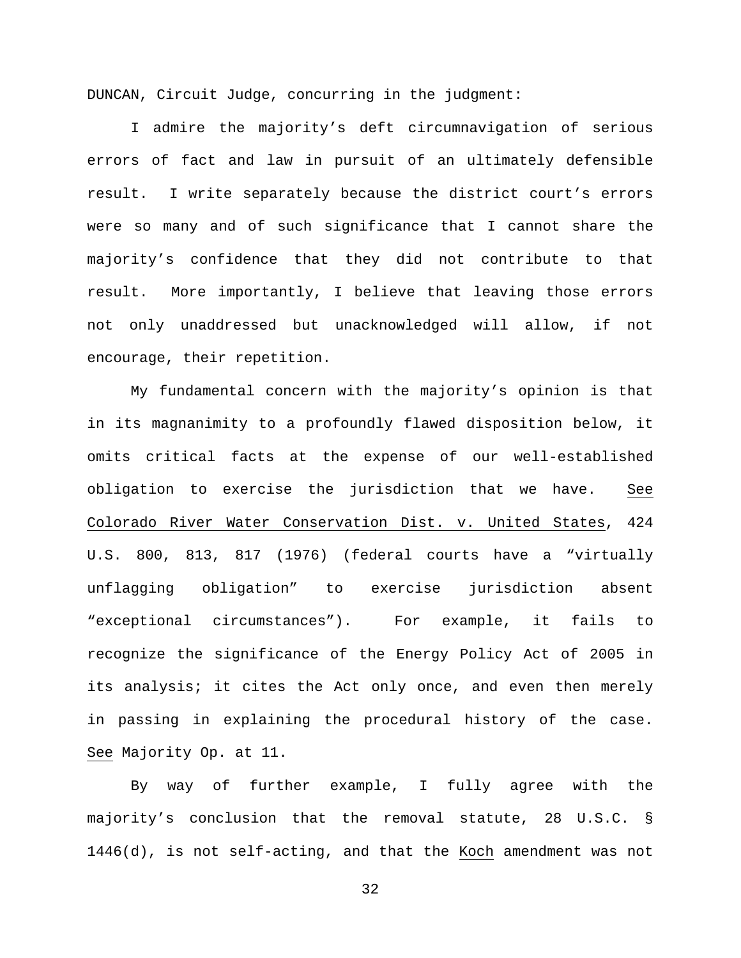DUNCAN, Circuit Judge, concurring in the judgment:

I admire the majority's deft circumnavigation of serious errors of fact and law in pursuit of an ultimately defensible result. I write separately because the district court's errors were so many and of such significance that I cannot share the majority's confidence that they did not contribute to that result. More importantly, I believe that leaving those errors not only unaddressed but unacknowledged will allow, if not encourage, their repetition.

My fundamental concern with the majority's opinion is that in its magnanimity to a profoundly flawed disposition below, it omits critical facts at the expense of our well-established obligation to exercise the jurisdiction that we have. See Colorado River Water Conservation Dist. v. United States, 424 U.S. 800, 813, 817 (1976) (federal courts have a "virtually unflagging obligation" to exercise jurisdiction absent "exceptional circumstances"). For example, it fails to recognize the significance of the Energy Policy Act of 2005 in its analysis; it cites the Act only once, and even then merely in passing in explaining the procedural history of the case. See Majority Op. at 11.

By way of further example, I fully agree with the majority's conclusion that the removal statute, 28 U.S.C. § 1446(d), is not self-acting, and that the Koch amendment was not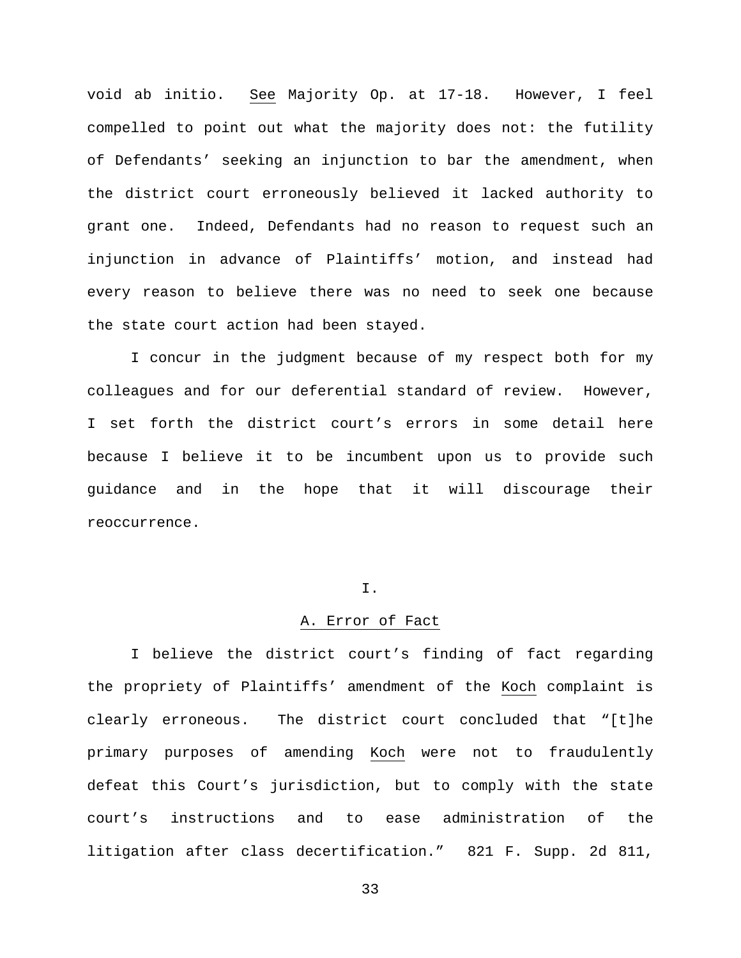void ab initio. See Majority Op. at 17-18. However, I feel compelled to point out what the majority does not: the futility of Defendants' seeking an injunction to bar the amendment, when the district court erroneously believed it lacked authority to grant one. Indeed, Defendants had no reason to request such an injunction in advance of Plaintiffs' motion, and instead had every reason to believe there was no need to seek one because the state court action had been stayed.

I concur in the judgment because of my respect both for my colleagues and for our deferential standard of review. However, I set forth the district court's errors in some detail here because I believe it to be incumbent upon us to provide such guidance and in the hope that it will discourage their reoccurrence.

## I.

### A. Error of Fact

I believe the district court's finding of fact regarding the propriety of Plaintiffs' amendment of the Koch complaint is clearly erroneous. The district court concluded that "[t]he primary purposes of amending Koch were not to fraudulently defeat this Court's jurisdiction, but to comply with the state court's instructions and to ease administration of the litigation after class decertification." 821 F. Supp. 2d 811,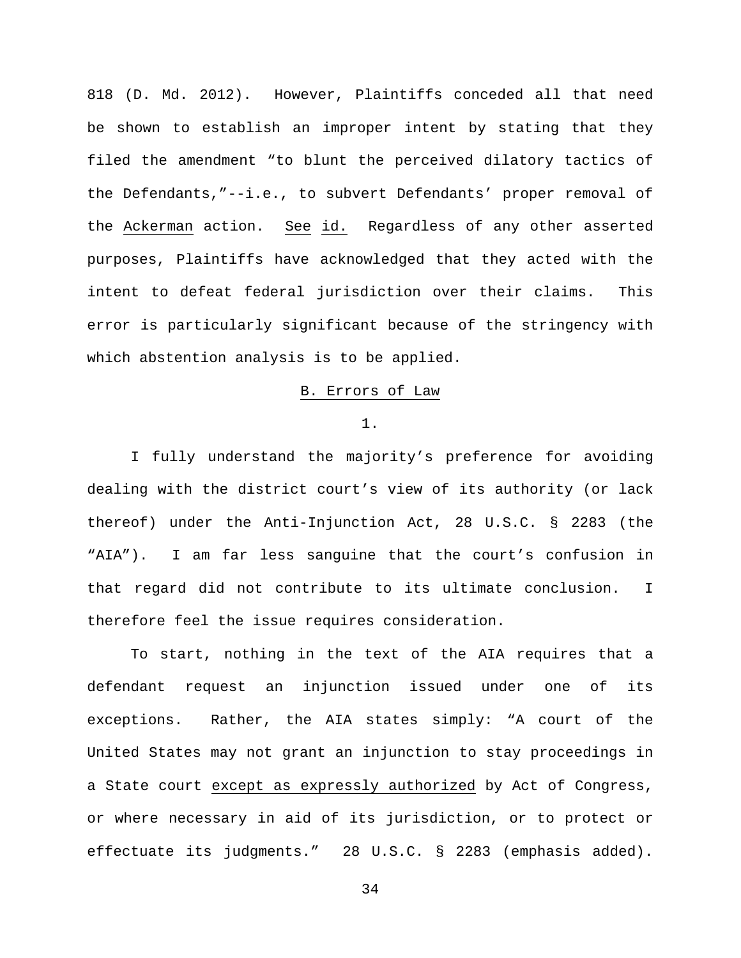818 (D. Md. 2012). However, Plaintiffs conceded all that need be shown to establish an improper intent by stating that they filed the amendment "to blunt the perceived dilatory tactics of the Defendants,"--i.e., to subvert Defendants' proper removal of the Ackerman action. See id. Regardless of any other asserted purposes, Plaintiffs have acknowledged that they acted with the intent to defeat federal jurisdiction over their claims. This error is particularly significant because of the stringency with which abstention analysis is to be applied.

## B. Errors of Law

1.

I fully understand the majority's preference for avoiding dealing with the district court's view of its authority (or lack thereof) under the Anti-Injunction Act, 28 U.S.C. § 2283 (the "AIA"). I am far less sanguine that the court's confusion in that regard did not contribute to its ultimate conclusion. I therefore feel the issue requires consideration.

To start, nothing in the text of the AIA requires that a defendant request an injunction issued under one of its exceptions. Rather, the AIA states simply: "A court of the United States may not grant an injunction to stay proceedings in a State court except as expressly authorized by Act of Congress, or where necessary in aid of its jurisdiction, or to protect or effectuate its judgments." 28 U.S.C. § 2283 (emphasis added).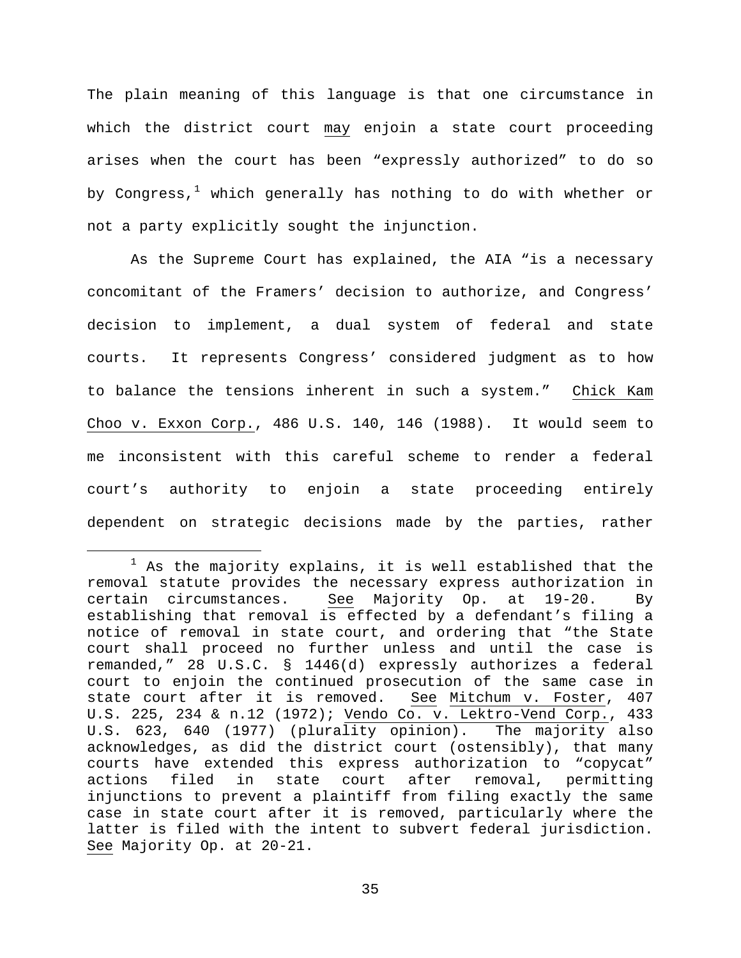The plain meaning of this language is that one circumstance in which the district court may enjoin a state court proceeding arises when the court has been "expressly authorized" to do so by Congress, $<sup>1</sup>$  $<sup>1</sup>$  $<sup>1</sup>$  which generally has nothing to do with whether or</sup> not a party explicitly sought the injunction.

As the Supreme Court has explained, the AIA "is a necessary concomitant of the Framers' decision to authorize, and Congress' decision to implement, a dual system of federal and state courts. It represents Congress' considered judgment as to how to balance the tensions inherent in such a system." Chick Kam Choo v. Exxon Corp., 486 U.S. 140, 146 (1988). It would seem to me inconsistent with this careful scheme to render a federal court's authority to enjoin a state proceeding entirely dependent on strategic decisions made by the parties, rather

<span id="page-34-0"></span> $1$  As the majority explains, it is well established that the removal statute provides the necessary express authorization in certain circumstances. See Majority Op. at 19-20. By establishing that removal is effected by a defendant's filing a notice of removal in state court, and ordering that "the State court shall proceed no further unless and until the case is remanded," 28 U.S.C. § 1446(d) expressly authorizes a federal court to enjoin the continued prosecution of the same case in state court after it is removed. See Mitchum v. Foster, 407 U.S. 225, 234 & n.12 (1972); Vendo Co. v. Lektro-Vend Corp., 433 U.S. 623, 640 (1977) (plurality opinion). The majority also acknowledges, as did the district court (ostensibly), that many courts have extended this express authorization to "copycat" state court after removal, permitting injunctions to prevent a plaintiff from filing exactly the same case in state court after it is removed, particularly where the latter is filed with the intent to subvert federal jurisdiction. See Majority Op. at 20-21.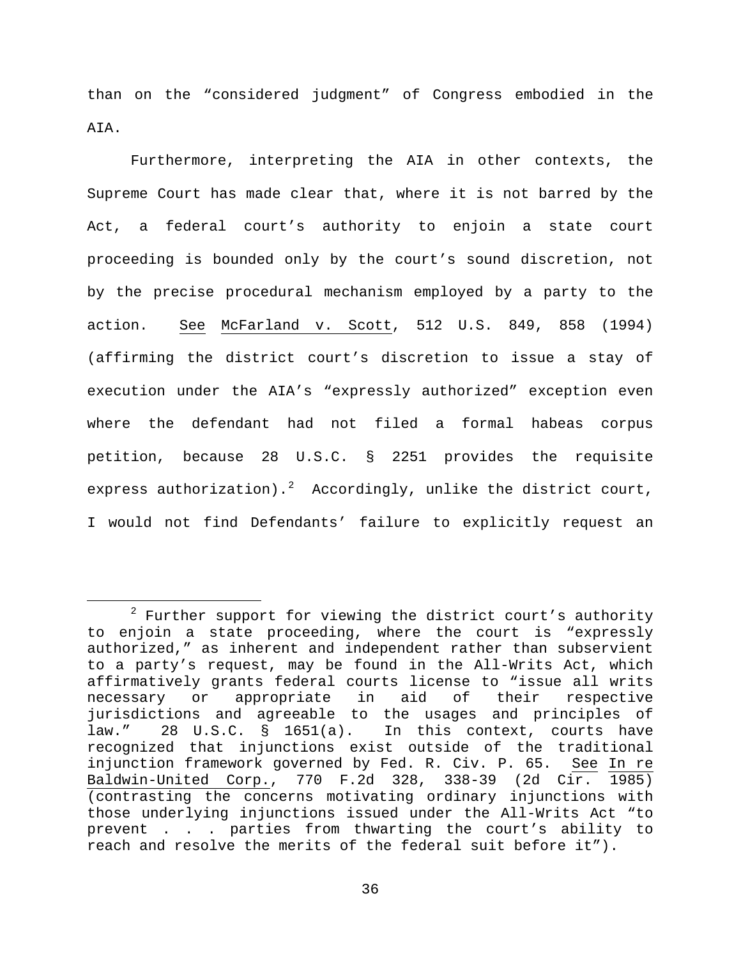than on the "considered judgment" of Congress embodied in the AIA.

Furthermore, interpreting the AIA in other contexts, the Supreme Court has made clear that, where it is not barred by the Act, a federal court's authority to enjoin a state court proceeding is bounded only by the court's sound discretion, not by the precise procedural mechanism employed by a party to the action. See McFarland v. Scott, 512 U.S. 849, 858 (1994) (affirming the district court's discretion to issue a stay of execution under the AIA's "expressly authorized" exception even where the defendant had not filed a formal habeas corpus petition, because 28 U.S.C. § 2251 provides the requisite express authorization). $^{2}$  $^{2}$  $^{2}$  Accordingly, unlike the district court, I would not find Defendants' failure to explicitly request an

<span id="page-35-0"></span> $2$  Further support for viewing the district court's authority to enjoin a state proceeding, where the court is "expressly authorized," as inherent and independent rather than subservient to a party's request, may be found in the All-Writs Act, which affirmatively grants federal courts license to "issue all writs necessary or appropriate in aid of their respective jurisdictions and agreeable to the usages and principles of law." 28 U.S.C. § 1651(a). In this context, courts have recognized that injunctions exist outside of the traditional<br>injunction framework governed by Fed. R. Civ. P. 65. See In re injunction framework governed by Fed. R. Civ. P. 65. Baldwin-United Corp., 770 F.2d 328, 338-39 (2d Cir. 1985) (contrasting the concerns motivating ordinary injunctions with those underlying injunctions issued under the All-Writs Act "to<br>prevent . . . parties from thwarting the court's ability to . . . parties from thwarting the court's ability to reach and resolve the merits of the federal suit before it").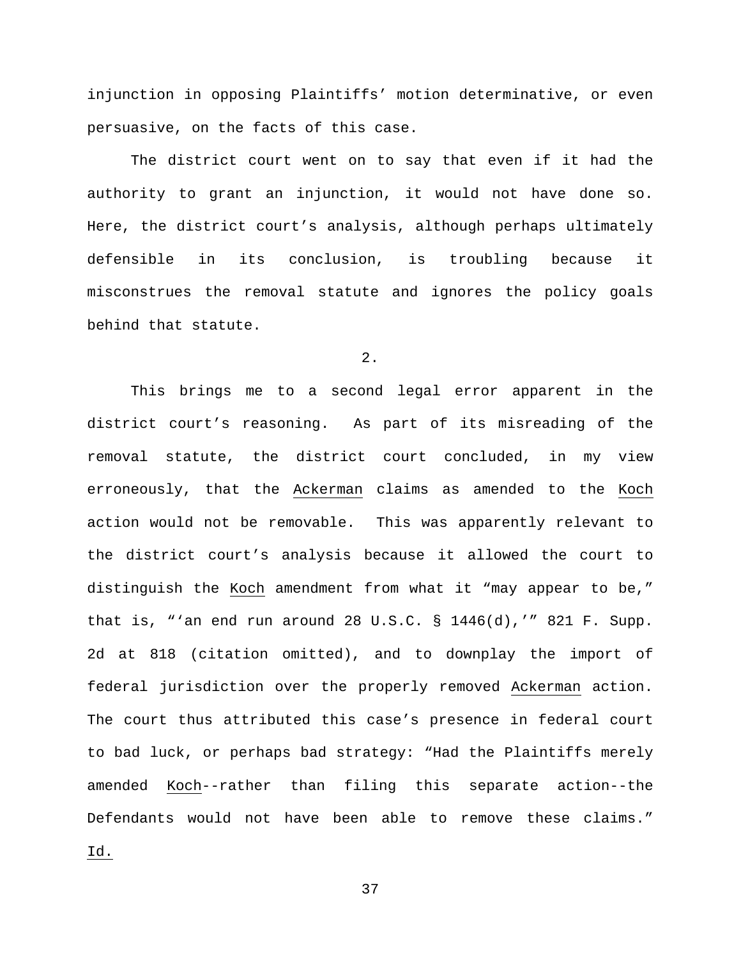injunction in opposing Plaintiffs' motion determinative, or even persuasive, on the facts of this case.

The district court went on to say that even if it had the authority to grant an injunction, it would not have done so. Here, the district court's analysis, although perhaps ultimately defensible in its conclusion, is troubling because it misconstrues the removal statute and ignores the policy goals behind that statute.

2.

This brings me to a second legal error apparent in the district court's reasoning. As part of its misreading of the removal statute, the district court concluded, in my view erroneously, that the Ackerman claims as amended to the Koch action would not be removable. This was apparently relevant to the district court's analysis because it allowed the court to distinguish the Koch amendment from what it "may appear to be," that is, "'an end run around 28 U.S.C. § 1446(d),'" 821 F. Supp. 2d at 818 (citation omitted), and to downplay the import of federal jurisdiction over the properly removed Ackerman action. The court thus attributed this case's presence in federal court to bad luck, or perhaps bad strategy: "Had the Plaintiffs merely amended Koch--rather than filing this separate action--the Defendants would not have been able to remove these claims." Id.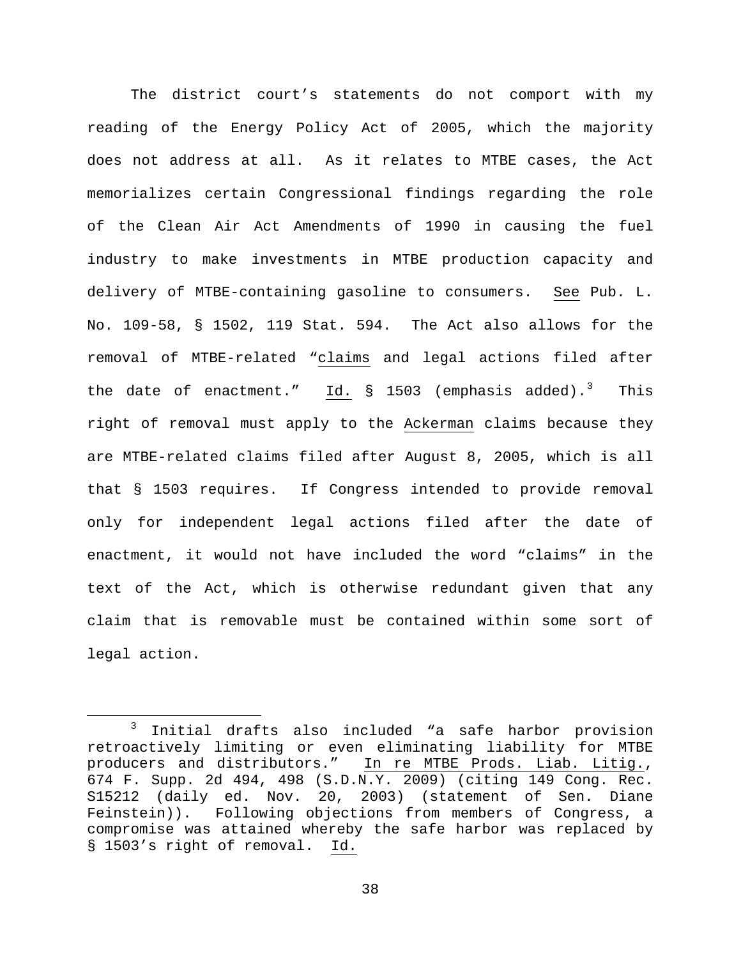The district court's statements do not comport with my reading of the Energy Policy Act of 2005, which the majority does not address at all. As it relates to MTBE cases, the Act memorializes certain Congressional findings regarding the role of the Clean Air Act Amendments of 1990 in causing the fuel industry to make investments in MTBE production capacity and delivery of MTBE-containing gasoline to consumers. See Pub. L. No. 109-58, § 1502, 119 Stat. 594. The Act also allows for the removal of MTBE-related "claims and legal actions filed after the date of enactment." Id.  $\S$  150[3](#page-37-0) (emphasis added).<sup>3</sup> This right of removal must apply to the Ackerman claims because they are MTBE-related claims filed after August 8, 2005, which is all that § 1503 requires. If Congress intended to provide removal only for independent legal actions filed after the date of enactment, it would not have included the word "claims" in the text of the Act, which is otherwise redundant given that any claim that is removable must be contained within some sort of legal action.

<span id="page-37-0"></span> <sup>3</sup> Initial drafts also included "a safe harbor provision retroactively limiting or even eliminating liability for MTBE producers and distributors." In re MTBE Prods. Liab. Litig., 674 F. Supp. 2d 494, 498 (S.D.N.Y. 2009) (citing 149 Cong. Rec. S15212 (daily ed. Nov. 20, 2003) (statement of Sen. Diane Feinstein)). Following objections from members of Congress, a compromise was attained whereby the safe harbor was replaced by § 1503's right of removal. Id.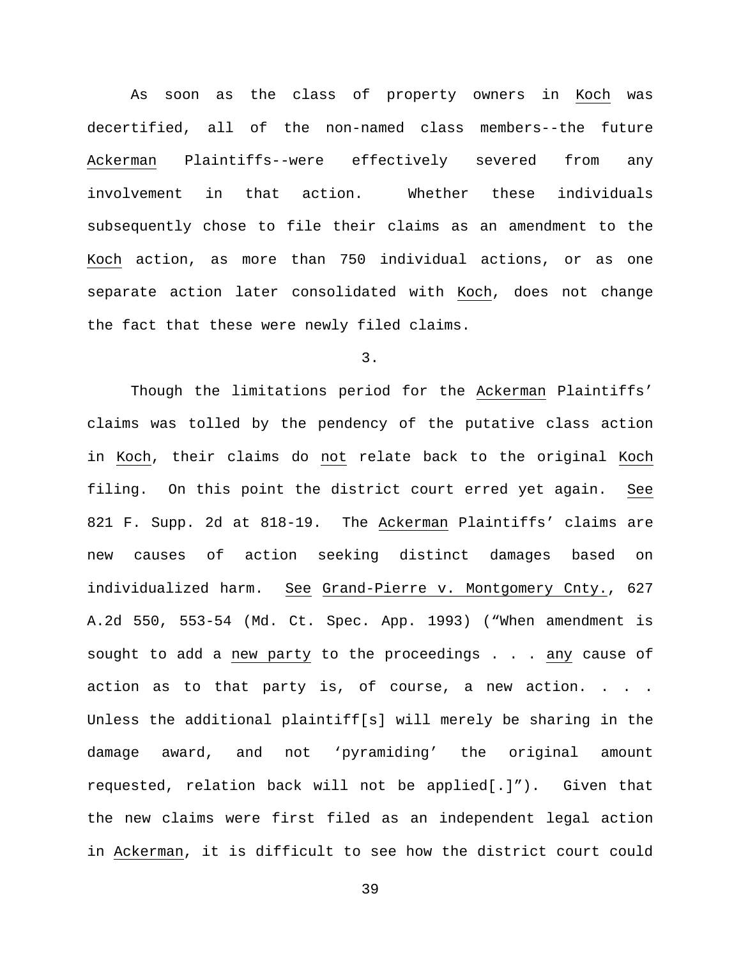As soon as the class of property owners in Koch was decertified, all of the non-named class members--the future Ackerman Plaintiffs--were effectively severed from any involvement in that action. Whether these individuals subsequently chose to file their claims as an amendment to the Koch action, as more than 750 individual actions, or as one separate action later consolidated with Koch, does not change the fact that these were newly filed claims.

# 3.

Though the limitations period for the Ackerman Plaintiffs' claims was tolled by the pendency of the putative class action in Koch, their claims do not relate back to the original Koch filing. On this point the district court erred yet again. See 821 F. Supp. 2d at 818-19. The Ackerman Plaintiffs' claims are new causes of action seeking distinct damages based on individualized harm. See Grand-Pierre v. Montgomery Cnty., 627 A.2d 550, 553-54 (Md. Ct. Spec. App. 1993) ("When amendment is sought to add a new party to the proceedings . . . any cause of action as to that party is, of course, a new action. . . . Unless the additional plaintiff[s] will merely be sharing in the damage award, and not 'pyramiding' the original amount requested, relation back will not be applied[.]"). Given that the new claims were first filed as an independent legal action in Ackerman, it is difficult to see how the district court could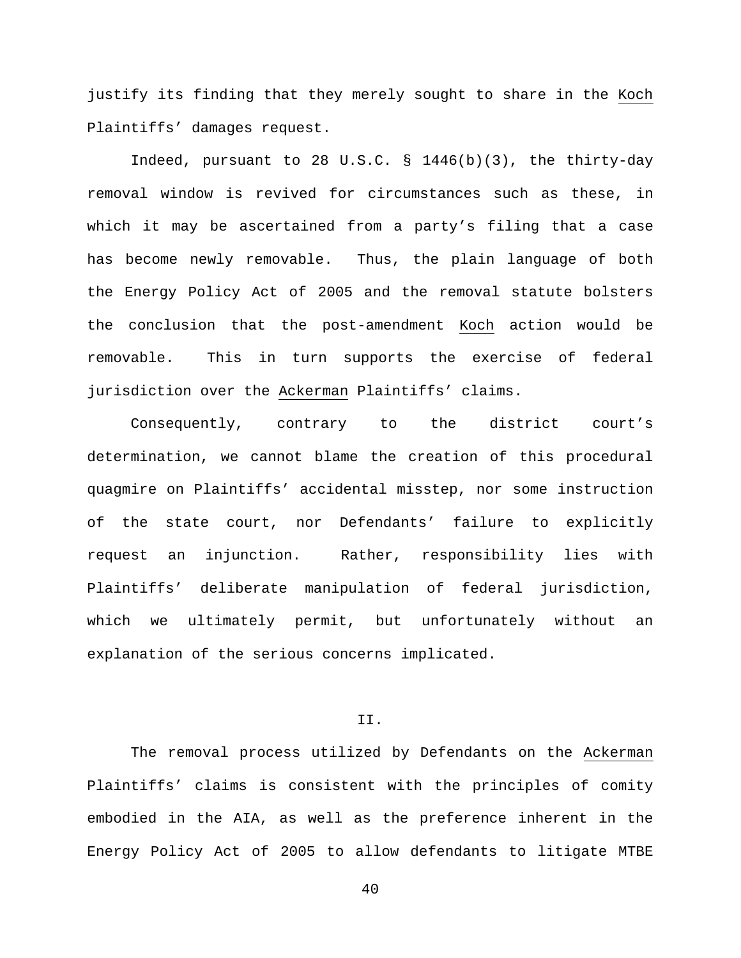justify its finding that they merely sought to share in the Koch Plaintiffs' damages request.

Indeed, pursuant to 28 U.S.C. § 1446(b)(3), the thirty-day removal window is revived for circumstances such as these, in which it may be ascertained from a party's filing that a case has become newly removable. Thus, the plain language of both the Energy Policy Act of 2005 and the removal statute bolsters the conclusion that the post-amendment Koch action would be removable. This in turn supports the exercise of federal jurisdiction over the Ackerman Plaintiffs' claims.

Consequently, contrary to the district court's determination, we cannot blame the creation of this procedural quagmire on Plaintiffs' accidental misstep, nor some instruction of the state court, nor Defendants' failure to explicitly request an injunction. Rather, responsibility lies with Plaintiffs' deliberate manipulation of federal jurisdiction, which we ultimately permit, but unfortunately without an explanation of the serious concerns implicated.

### II.

The removal process utilized by Defendants on the Ackerman Plaintiffs' claims is consistent with the principles of comity embodied in the AIA, as well as the preference inherent in the Energy Policy Act of 2005 to allow defendants to litigate MTBE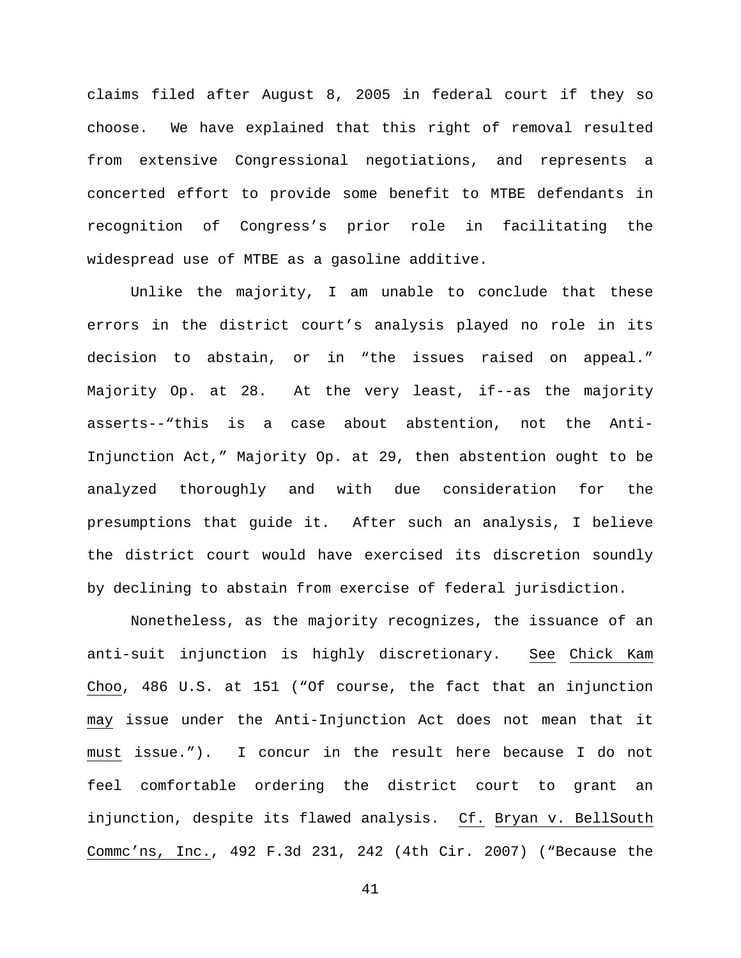claims filed after August 8, 2005 in federal court if they so choose. We have explained that this right of removal resulted from extensive Congressional negotiations, and represents a concerted effort to provide some benefit to MTBE defendants in recognition of Congress's prior role in facilitating the widespread use of MTBE as a gasoline additive.

Unlike the majority, I am unable to conclude that these errors in the district court's analysis played no role in its decision to abstain, or in "the issues raised on appeal." Majority Op. at 28. At the very least, if--as the majority asserts--"this is a case about abstention, not the Anti-Injunction Act," Majority Op. at 29, then abstention ought to be analyzed thoroughly and with due consideration for the presumptions that guide it. After such an analysis, I believe the district court would have exercised its discretion soundly by declining to abstain from exercise of federal jurisdiction.

Nonetheless, as the majority recognizes, the issuance of an anti-suit injunction is highly discretionary. See Chick Kam Choo, 486 U.S. at 151 ("Of course, the fact that an injunction may issue under the Anti-Injunction Act does not mean that it must issue."). I concur in the result here because I do not feel comfortable ordering the district court to grant an injunction, despite its flawed analysis. Cf. Bryan v. BellSouth Commc'ns, Inc., 492 F.3d 231, 242 (4th Cir. 2007) ("Because the